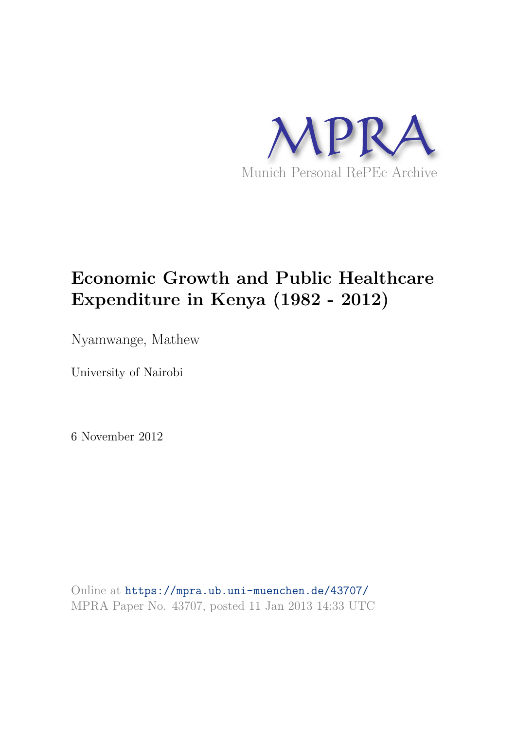

# **Economic Growth and Public Healthcare Expenditure in Kenya (1982 - 2012)**

Nyamwange, Mathew

University of Nairobi

6 November 2012

Online at https://mpra.ub.uni-muenchen.de/43707/ MPRA Paper No. 43707, posted 11 Jan 2013 14:33 UTC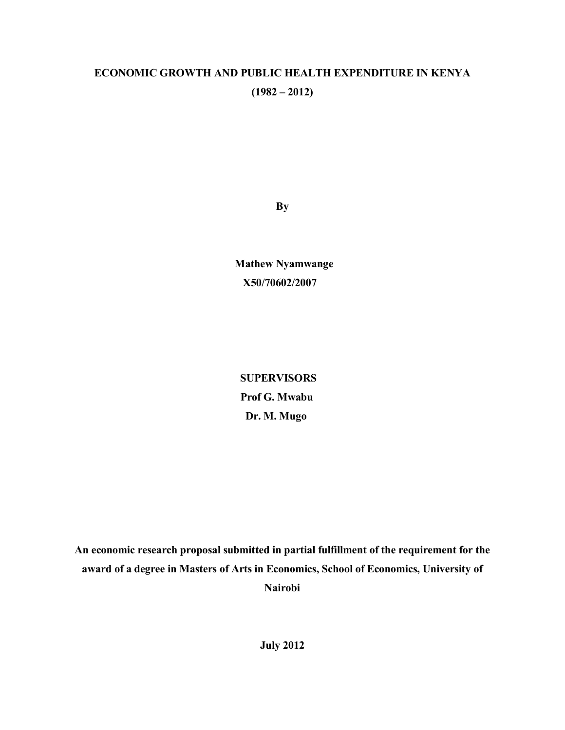# **ECONOMIC GROWTH AND PUBLIC HEALTH EXPENDITURE IN KENYA**   $(1982 - 2012)$

**By** 

 **Mathew Nyamwange X50/70602/2007** 

 **SUPERVISORS Prof G. Mwabu Dr. M. Mugo** 

**An economic research proposal submitted in partial fulfillment of the requirement for the award of a degree in Masters of Arts in Economics, School of Economics, University of Nairobi** 

**July 2012**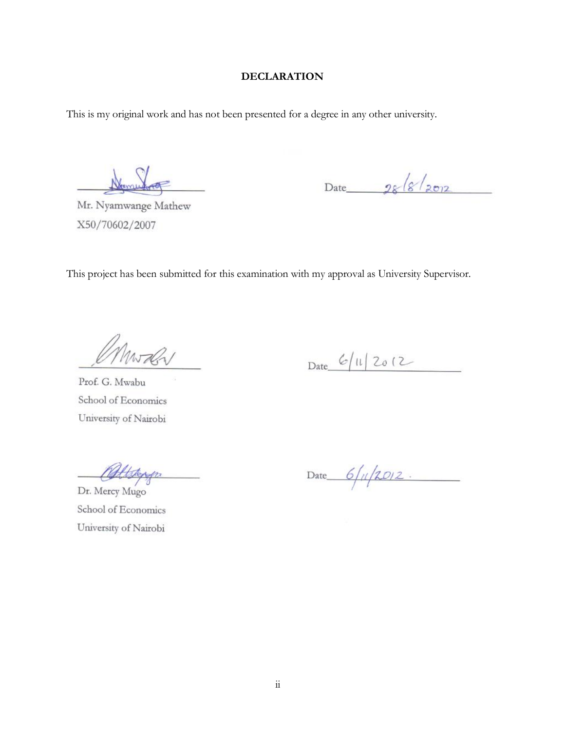# **DECLARATION**

This is my original work and has not been presented for a degree in any other university.

Mr. Nyamwange Mathew X50/70602/2007

Date  $28/8/2012$ 

This project has been submitted for this examination with my approval as University Supervisor.

Mwaln

Date  $6/11/2012$ 

Prof. G. Mwabu School of Economics University of Nairobi

attenger

Date  $6/(\sqrt{20/2})$ 

Dr. Mercy Mugo School of Economics University of Nairobi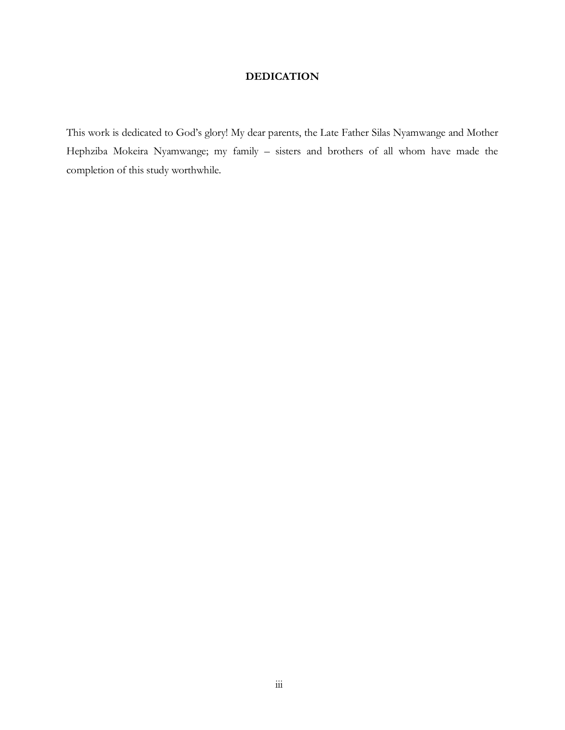# **DEDICATION**

This work is dedicated to God's glory! My dear parents, the Late Father Silas Nyamwange and Mother Hephziba Mokeira Nyamwange; my family – sisters and brothers of all whom have made the completion of this study worthwhile.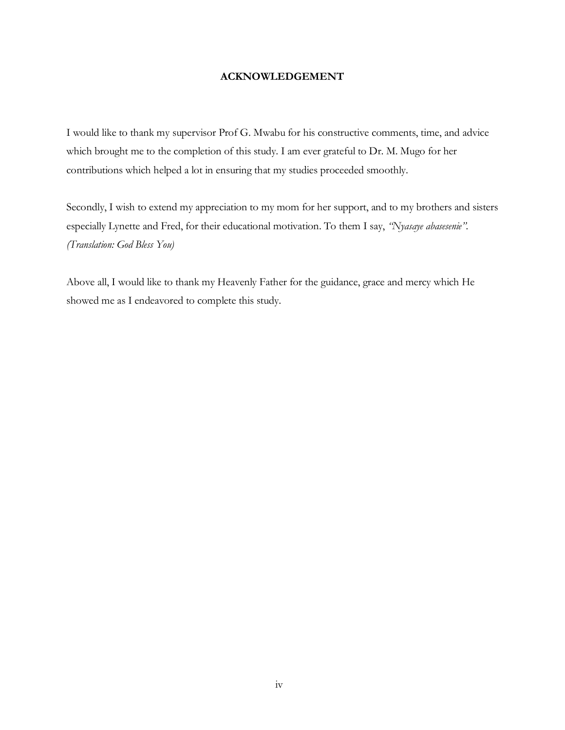### **ACKNOWLEDGEMENT**

I would like to thank my supervisor Prof G. Mwabu for his constructive comments, time, and advice which brought me to the completion of this study. I am ever grateful to Dr. M. Mugo for her contributions which helped a lot in ensuring that my studies proceeded smoothly.

Secondly, I wish to extend my appreciation to my mom for her support, and to my brothers and sisters especially Lynette and Fred, for their educational motivation. To them I say, *"Nyasaye abasesenie". (Translation: God Bless You)* 

Above all, I would like to thank my Heavenly Father for the guidance, grace and mercy which He showed me as I endeavored to complete this study.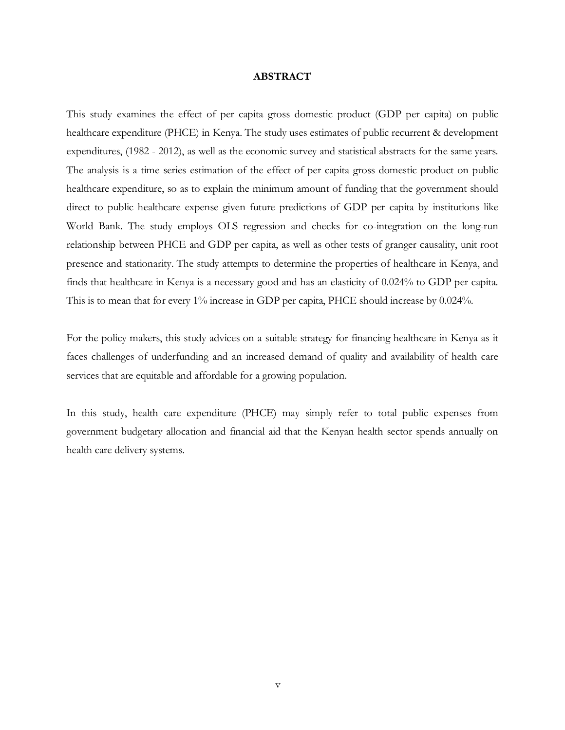#### **ABSTRACT**

This study examines the effect of per capita gross domestic product (GDP per capita) on public healthcare expenditure (PHCE) in Kenya. The study uses estimates of public recurrent & development expenditures, (1982 - 2012), as well as the economic survey and statistical abstracts for the same years. The analysis is a time series estimation of the effect of per capita gross domestic product on public healthcare expenditure, so as to explain the minimum amount of funding that the government should direct to public healthcare expense given future predictions of GDP per capita by institutions like World Bank. The study employs OLS regression and checks for co-integration on the long-run relationship between PHCE and GDP per capita, as well as other tests of granger causality, unit root presence and stationarity. The study attempts to determine the properties of healthcare in Kenya, and finds that healthcare in Kenya is a necessary good and has an elasticity of 0.024% to GDP per capita. This is to mean that for every 1% increase in GDP per capita, PHCE should increase by 0.024%.

For the policy makers, this study advices on a suitable strategy for financing healthcare in Kenya as it faces challenges of underfunding and an increased demand of quality and availability of health care services that are equitable and affordable for a growing population.

In this study, health care expenditure (PHCE) may simply refer to total public expenses from government budgetary allocation and financial aid that the Kenyan health sector spends annually on health care delivery systems.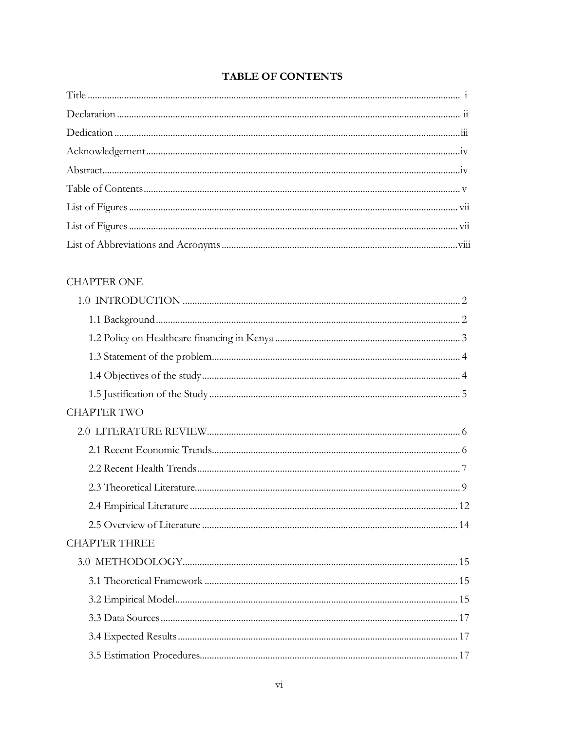# **TABLE OF CONTENTS**

# CHAPTER ONE

| <b>CHAPTER TWO</b>   |
|----------------------|
|                      |
|                      |
|                      |
|                      |
|                      |
|                      |
| <b>CHAPTER THREE</b> |
|                      |
|                      |
|                      |
|                      |
|                      |
|                      |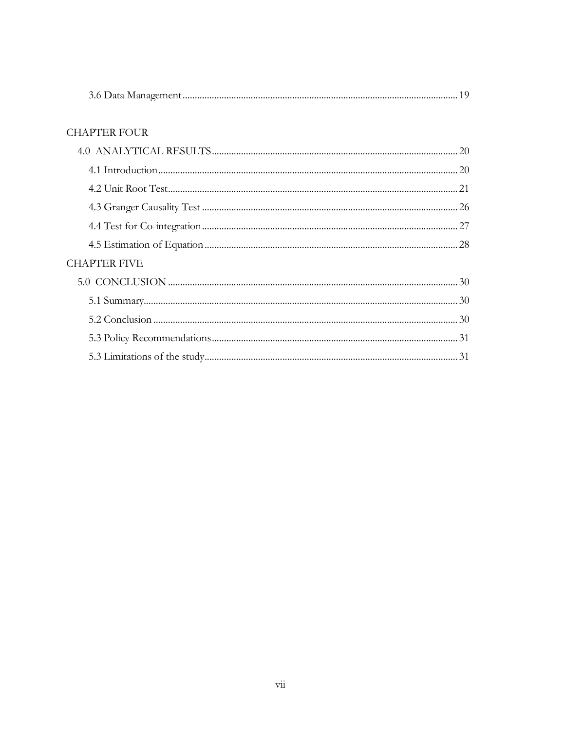| 22 E 21 |  |
|---------|--|
|---------|--|

# **CHAPTER FOUR**

| <b>CHAPTER FIVE</b> |  |
|---------------------|--|
|                     |  |
|                     |  |
|                     |  |
|                     |  |
|                     |  |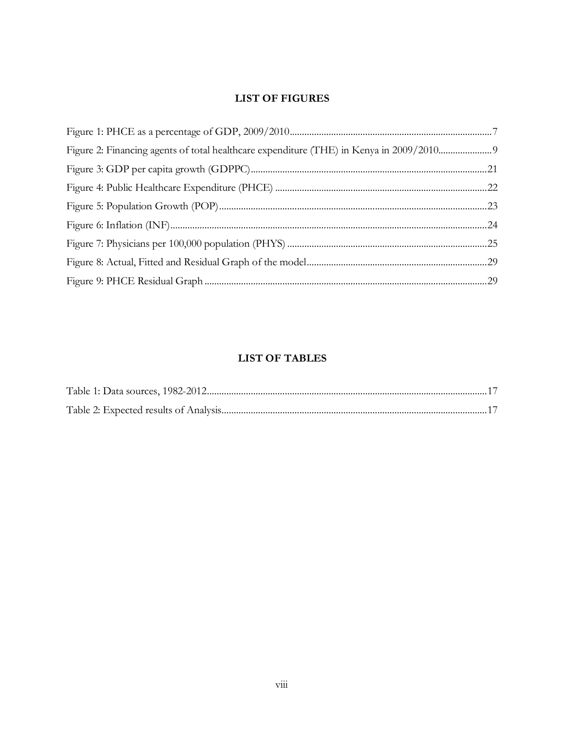# **LIST OF FIGURES**

# **LIST OF TABLES**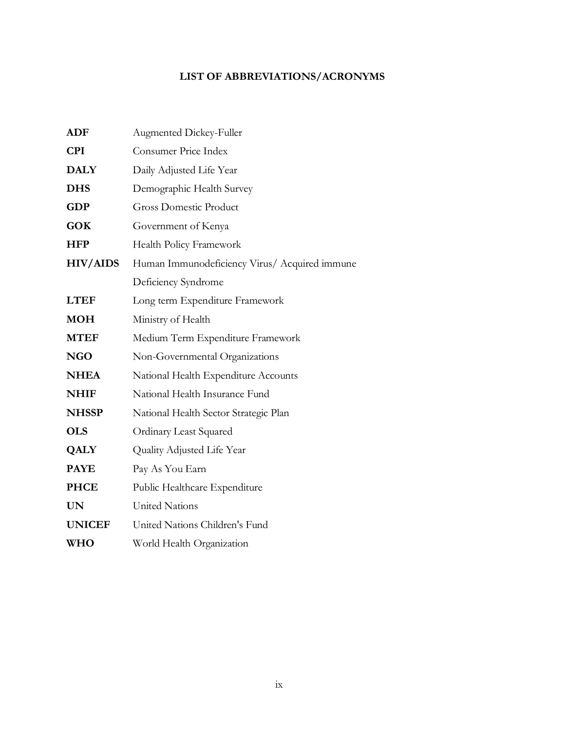# **LIST OF ABBREVIATIONS/ACRONYMS**

| <b>ADF</b>      | Augmented Dickey-Fuller                       |
|-----------------|-----------------------------------------------|
| <b>CPI</b>      | Consumer Price Index                          |
| <b>DALY</b>     | Daily Adjusted Life Year                      |
| <b>DHS</b>      | Demographic Health Survey                     |
| <b>GDP</b>      | <b>Gross Domestic Product</b>                 |
| <b>GOK</b>      | Government of Kenya                           |
| <b>HFP</b>      | Health Policy Framework                       |
| <b>HIV/AIDS</b> | Human Immunodeficiency Virus/ Acquired immune |
|                 | Deficiency Syndrome                           |
| <b>LTEF</b>     | Long term Expenditure Framework               |
| <b>MOH</b>      | Ministry of Health                            |
| <b>MTEF</b>     | Medium Term Expenditure Framework             |
| <b>NGO</b>      | Non-Governmental Organizations                |
| <b>NHEA</b>     | National Health Expenditure Accounts          |
| <b>NHIF</b>     | National Health Insurance Fund                |
| <b>NHSSP</b>    | National Health Sector Strategic Plan         |
| <b>OLS</b>      | <b>Ordinary Least Squared</b>                 |
| <b>QALY</b>     | Quality Adjusted Life Year                    |
| <b>PAYE</b>     | Pay As You Earn                               |
| <b>PHCE</b>     | Public Healthcare Expenditure                 |
| <b>UN</b>       | <b>United Nations</b>                         |
| <b>UNICEF</b>   | United Nations Children's Fund                |
| <b>WHO</b>      | World Health Organization                     |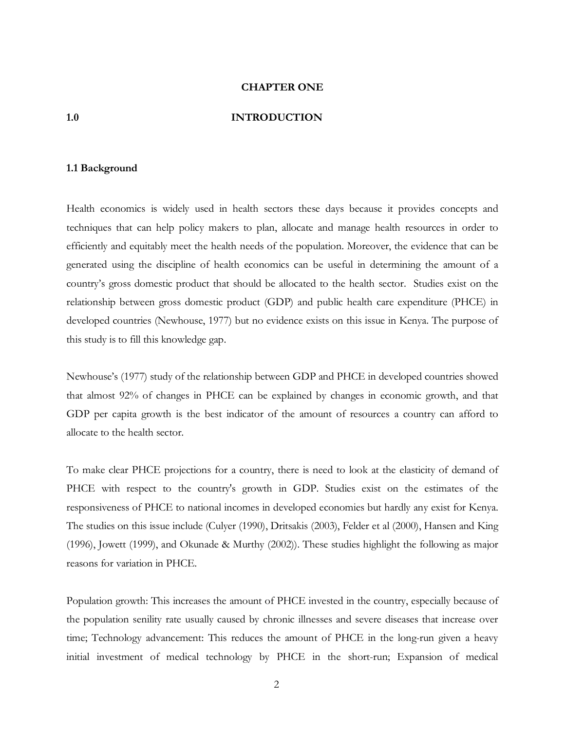#### **CHAPTER ONE**

#### **1.0 INTRODUCTION**

#### **1.1 Background**

Health economics is widely used in health sectors these days because it provides concepts and techniques that can help policy makers to plan, allocate and manage health resources in order to efficiently and equitably meet the health needs of the population. Moreover, the evidence that can be generated using the discipline of health economics can be useful in determining the amount of a country's gross domestic product that should be allocated to the health sector. Studies exist on the relationship between gross domestic product (GDP) and public health care expenditure (PHCE) in developed countries (Newhouse, 1977) but no evidence exists on this issue in Kenya. The purpose of this study is to fill this knowledge gap.

Newhouse's (1977) study of the relationship between GDP and PHCE in developed countries showed that almost 92% of changes in PHCE can be explained by changes in economic growth, and that GDP per capita growth is the best indicator of the amount of resources a country can afford to allocate to the health sector.

To make clear PHCE projections for a country, there is need to look at the elasticity of demand of PHCE with respect to the country's growth in GDP. Studies exist on the estimates of the responsiveness of PHCE to national incomes in developed economies but hardly any exist for Kenya. The studies on this issue include (Culyer (1990), Dritsakis (2003), Felder et al (2000), Hansen and King (1996), Jowett (1999), and Okunade & Murthy (2002)). These studies highlight the following as major reasons for variation in PHCE.

Population growth: This increases the amount of PHCE invested in the country, especially because of the population senility rate usually caused by chronic illnesses and severe diseases that increase over time; Technology advancement: This reduces the amount of PHCE in the long-run given a heavy initial investment of medical technology by PHCE in the short-run; Expansion of medical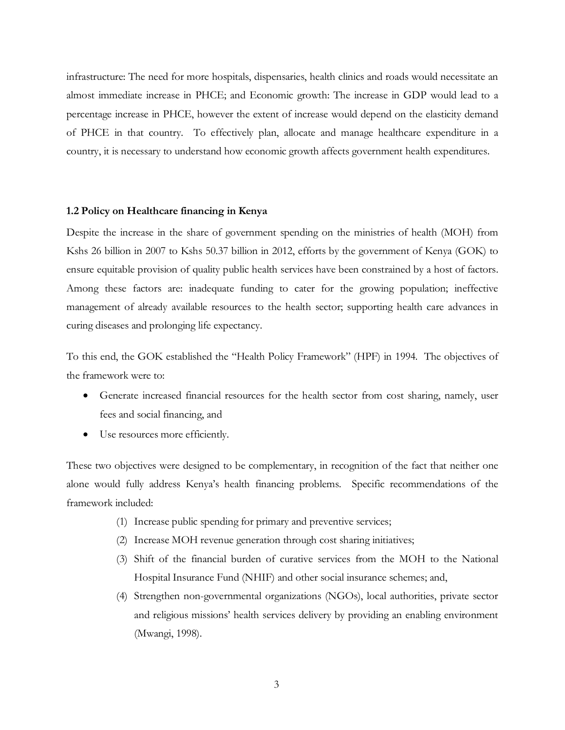infrastructure: The need for more hospitals, dispensaries, health clinics and roads would necessitate an almost immediate increase in PHCE; and Economic growth: The increase in GDP would lead to a percentage increase in PHCE, however the extent of increase would depend on the elasticity demand of PHCE in that country. To effectively plan, allocate and manage healthcare expenditure in a country, it is necessary to understand how economic growth affects government health expenditures.

#### **1.2 Policy on Healthcare financing in Kenya**

Despite the increase in the share of government spending on the ministries of health (MOH) from Kshs 26 billion in 2007 to Kshs 50.37 billion in 2012, efforts by the government of Kenya (GOK) to ensure equitable provision of quality public health services have been constrained by a host of factors. Among these factors are: inadequate funding to cater for the growing population; ineffective management of already available resources to the health sector; supporting health care advances in curing diseases and prolonging life expectancy.

To this end, the GOK established the "Health Policy Framework" (HPF) in 1994. The objectives of the framework were to:

- Generate increased financial resources for the health sector from cost sharing, namely, user fees and social financing, and
- · Use resources more efficiently.

These two objectives were designed to be complementary, in recognition of the fact that neither one alone would fully address Kenya's health financing problems. Specific recommendations of the framework included:

- (1) Increase public spending for primary and preventive services;
- (2) Increase MOH revenue generation through cost sharing initiatives;
- (3) Shift of the financial burden of curative services from the MOH to the National Hospital Insurance Fund (NHIF) and other social insurance schemes; and,
- (4) Strengthen non-governmental organizations (NGOs), local authorities, private sector and religious missions' health services delivery by providing an enabling environment (Mwangi, 1998).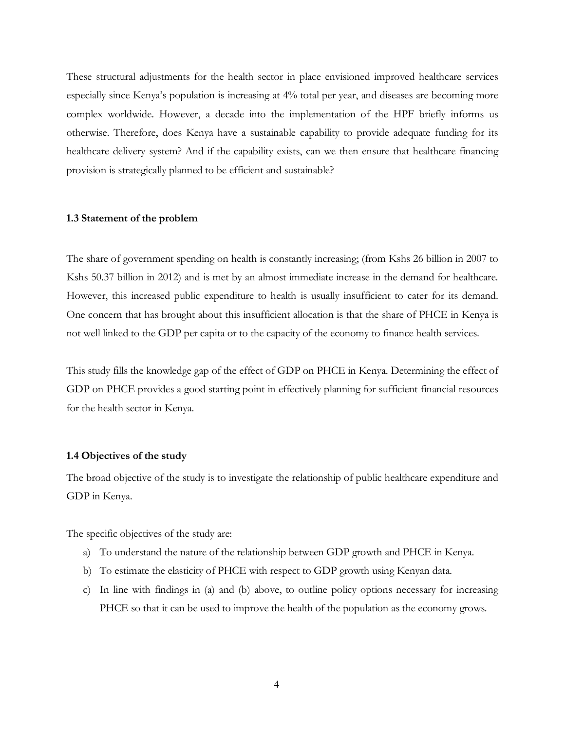These structural adjustments for the health sector in place envisioned improved healthcare services especially since Kenya's population is increasing at 4% total per year, and diseases are becoming more complex worldwide. However, a decade into the implementation of the HPF briefly informs us otherwise. Therefore, does Kenya have a sustainable capability to provide adequate funding for its healthcare delivery system? And if the capability exists, can we then ensure that healthcare financing provision is strategically planned to be efficient and sustainable?

#### **1.3 Statement of the problem**

The share of government spending on health is constantly increasing; (from Kshs 26 billion in 2007 to Kshs 50.37 billion in 2012) and is met by an almost immediate increase in the demand for healthcare. However, this increased public expenditure to health is usually insufficient to cater for its demand. One concern that has brought about this insufficient allocation is that the share of PHCE in Kenya is not well linked to the GDP per capita or to the capacity of the economy to finance health services.

This study fills the knowledge gap of the effect of GDP on PHCE in Kenya. Determining the effect of GDP on PHCE provides a good starting point in effectively planning for sufficient financial resources for the health sector in Kenya.

#### **1.4 Objectives of the study**

The broad objective of the study is to investigate the relationship of public healthcare expenditure and GDP in Kenya.

The specific objectives of the study are:

- a) To understand the nature of the relationship between GDP growth and PHCE in Kenya.
- b) To estimate the elasticity of PHCE with respect to GDP growth using Kenyan data.
- c) In line with findings in (a) and (b) above, to outline policy options necessary for increasing PHCE so that it can be used to improve the health of the population as the economy grows.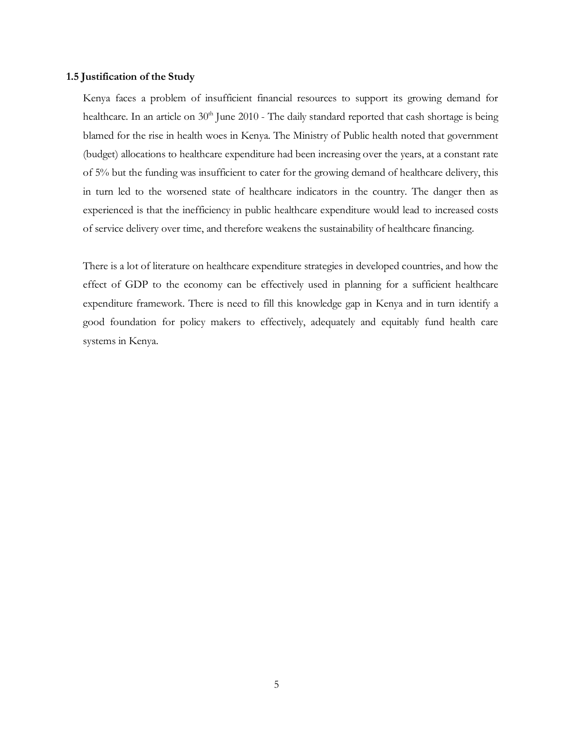#### **1.5 Justification of the Study**

Kenya faces a problem of insufficient financial resources to support its growing demand for healthcare. In an article on 30<sup>th</sup> June 2010 - The daily standard reported that cash shortage is being blamed for the rise in health woes in Kenya. The Ministry of Public health noted that government (budget) allocations to healthcare expenditure had been increasing over the years, at a constant rate of 5% but the funding was insufficient to cater for the growing demand of healthcare delivery, this in turn led to the worsened state of healthcare indicators in the country. The danger then as experienced is that the inefficiency in public healthcare expenditure would lead to increased costs of service delivery over time, and therefore weakens the sustainability of healthcare financing.

There is a lot of literature on healthcare expenditure strategies in developed countries, and how the effect of GDP to the economy can be effectively used in planning for a sufficient healthcare expenditure framework. There is need to fill this knowledge gap in Kenya and in turn identify a good foundation for policy makers to effectively, adequately and equitably fund health care systems in Kenya.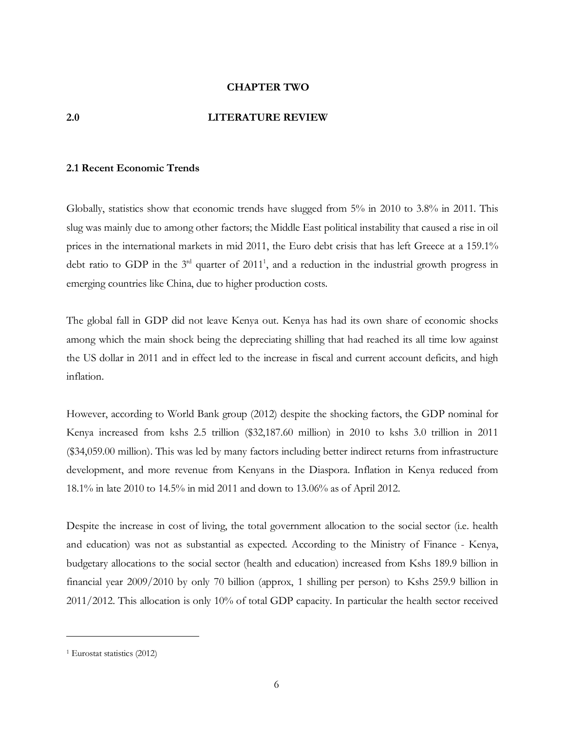#### **CHAPTER TWO**

#### **2.0 LITERATURE REVIEW**

#### **2.1 Recent Economic Trends**

Globally, statistics show that economic trends have slugged from 5% in 2010 to 3.8% in 2011. This slug was mainly due to among other factors; the Middle East political instability that caused a rise in oil prices in the international markets in mid 2011, the Euro debt crisis that has left Greece at a 159.1% debt ratio to GDP in the  $3<sup>rd</sup>$  quarter of 2011<sup>1</sup>, and a reduction in the industrial growth progress in emerging countries like China, due to higher production costs.

The global fall in GDP did not leave Kenya out. Kenya has had its own share of economic shocks among which the main shock being the depreciating shilling that had reached its all time low against the US dollar in 2011 and in effect led to the increase in fiscal and current account deficits, and high inflation.

However, according to World Bank group (2012) despite the shocking factors, the GDP nominal for Kenya increased from kshs 2.5 trillion (\$32,187.60 million) in 2010 to kshs 3.0 trillion in 2011 (\$34,059.00 million). This was led by many factors including better indirect returns from infrastructure development, and more revenue from Kenyans in the Diaspora. Inflation in Kenya reduced from 18.1% in late 2010 to 14.5% in mid 2011 and down to 13.06% as of April 2012.

Despite the increase in cost of living, the total government allocation to the social sector (i.e. health and education) was not as substantial as expected. According to the Ministry of Finance - Kenya, budgetary allocations to the social sector (health and education) increased from Kshs 189.9 billion in financial year 2009/2010 by only 70 billion (approx, 1 shilling per person) to Kshs 259.9 billion in 2011/2012. This allocation is only 10% of total GDP capacity. In particular the health sector received

 $\overline{a}$ 

<sup>1</sup> Eurostat statistics (2012)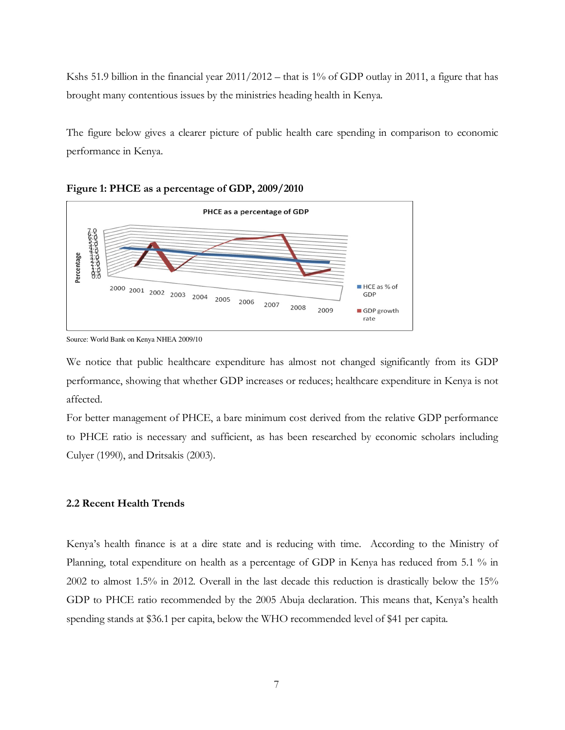Kshs 51.9 billion in the financial year 2011/2012 – that is 1% of GDP outlay in 2011, a figure that has brought many contentious issues by the ministries heading health in Kenya.

The figure below gives a clearer picture of public health care spending in comparison to economic performance in Kenya.



**Figure 1: PHCE as a percentage of GDP, 2009/2010** 



Source: World Bank on Kenya NHEA 2009/10

We notice that public healthcare expenditure has almost not changed significantly from its GDP performance, showing that whether GDP increases or reduces; healthcare expenditure in Kenya is not affected.

For better management of PHCE, a bare minimum cost derived from the relative GDP performance to PHCE ratio is necessary and sufficient, as has been researched by economic scholars including Culyer (1990), and Dritsakis (2003).

#### **2.2 Recent Health Trends**

Kenya's health finance is at a dire state and is reducing with time. According to the Ministry of Planning, total expenditure on health as a percentage of GDP in Kenya has reduced from 5.1 % in 2002 to almost 1.5% in 2012. Overall in the last decade this reduction is drastically below the 15% GDP to PHCE ratio recommended by the 2005 Abuja declaration. This means that, Kenya's health spending stands at \$36.1 per capita, below the WHO recommended level of \$41 per capita.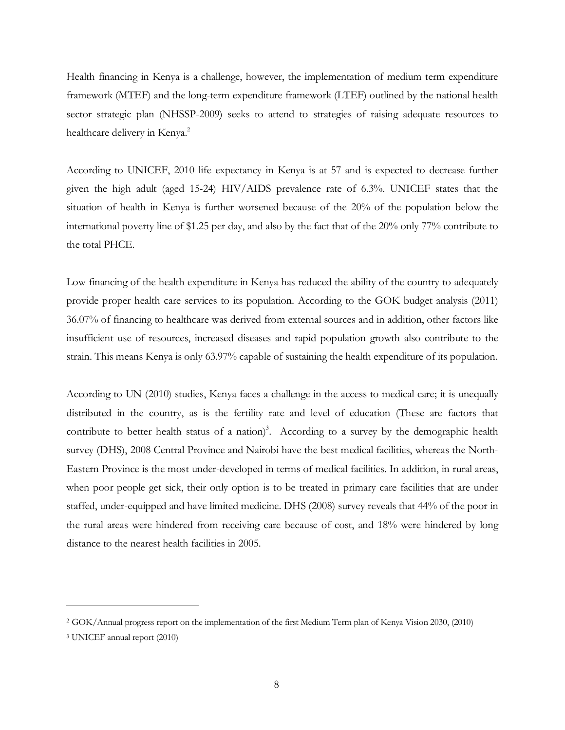Health financing in Kenya is a challenge, however, the implementation of medium term expenditure framework (MTEF) and the long-term expenditure framework (LTEF) outlined by the national health sector strategic plan (NHSSP-2009) seeks to attend to strategies of raising adequate resources to healthcare delivery in Kenya.<sup>2</sup>

According to UNICEF, 2010 life expectancy in Kenya is at 57 and is expected to decrease further given the high adult (aged 15-24) HIV/AIDS prevalence rate of 6.3%. UNICEF states that the situation of health in Kenya is further worsened because of the 20% of the population below the international poverty line of \$1.25 per day, and also by the fact that of the 20% only 77% contribute to the total PHCE.

Low financing of the health expenditure in Kenya has reduced the ability of the country to adequately provide proper health care services to its population. According to the GOK budget analysis (2011) 36.07% of financing to healthcare was derived from external sources and in addition, other factors like insufficient use of resources, increased diseases and rapid population growth also contribute to the strain. This means Kenya is only 63.97% capable of sustaining the health expenditure of its population.

According to UN (2010) studies, Kenya faces a challenge in the access to medical care; it is unequally distributed in the country, as is the fertility rate and level of education (These are factors that contribute to better health status of a nation)<sup>3</sup>. According to a survey by the demographic health survey (DHS), 2008 Central Province and Nairobi have the best medical facilities, whereas the North-Eastern Province is the most under-developed in terms of medical facilities. In addition, in rural areas, when poor people get sick, their only option is to be treated in primary care facilities that are under staffed, under-equipped and have limited medicine. DHS (2008) survey reveals that 44% of the poor in the rural areas were hindered from receiving care because of cost, and 18% were hindered by long distance to the nearest health facilities in 2005.

 $\overline{a}$ 

<sup>2</sup> GOK/Annual progress report on the implementation of the first Medium Term plan of Kenya Vision 2030, (2010)

<sup>3</sup> UNICEF annual report (2010)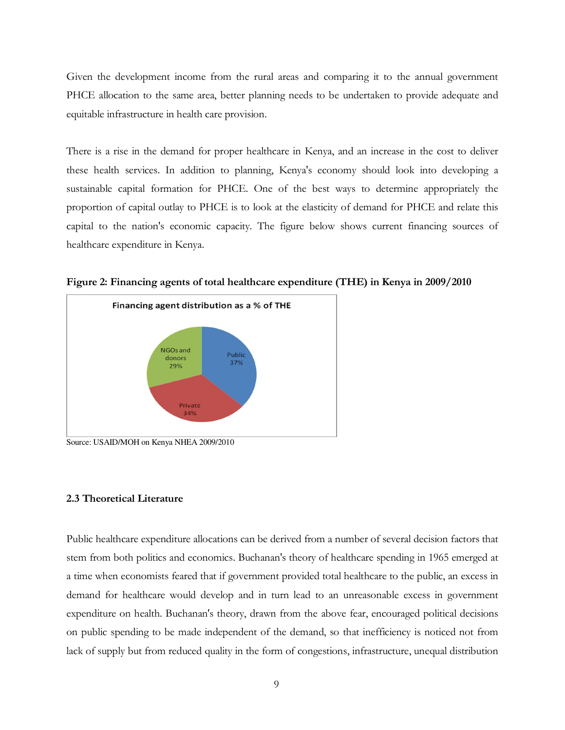Given the development income from the rural areas and comparing it to the annual government PHCE allocation to the same area, better planning needs to be undertaken to provide adequate and equitable infrastructure in health care provision.

There is a rise in the demand for proper healthcare in Kenya, and an increase in the cost to deliver these health services. In addition to planning, Kenya's economy should look into developing a sustainable capital formation for PHCE. One of the best ways to determine appropriately the proportion of capital outlay to PHCE is to look at the elasticity of demand for PHCE and relate this capital to the nation's economic capacity. The figure below shows current financing sources of healthcare expenditure in Kenya.



**Figure 2: Financing agents of total healthcare expenditure (THE) in Kenya in 2009/2010** 

Source: USAID/MOH on Kenya NHEA 2009/2010

#### **2.3 Theoretical Literature**

Public healthcare expenditure allocations can be derived from a number of several decision factors that stem from both politics and economics. Buchanan's theory of healthcare spending in 1965 emerged at a time when economists feared that if government provided total healthcare to the public, an excess in demand for healthcare would develop and in turn lead to an unreasonable excess in government expenditure on health. Buchanan's theory, drawn from the above fear, encouraged political decisions on public spending to be made independent of the demand, so that inefficiency is noticed not from lack of supply but from reduced quality in the form of congestions, infrastructure, unequal distribution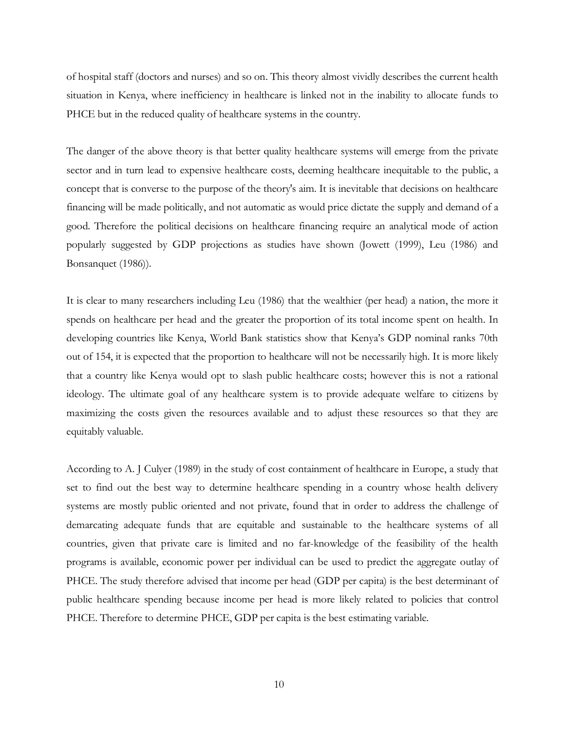of hospital staff (doctors and nurses) and so on. This theory almost vividly describes the current health situation in Kenya, where inefficiency in healthcare is linked not in the inability to allocate funds to PHCE but in the reduced quality of healthcare systems in the country.

The danger of the above theory is that better quality healthcare systems will emerge from the private sector and in turn lead to expensive healthcare costs, deeming healthcare inequitable to the public, a concept that is converse to the purpose of the theory's aim. It is inevitable that decisions on healthcare financing will be made politically, and not automatic as would price dictate the supply and demand of a good. Therefore the political decisions on healthcare financing require an analytical mode of action popularly suggested by GDP projections as studies have shown (Jowett (1999), Leu (1986) and Bonsanquet (1986)).

It is clear to many researchers including Leu (1986) that the wealthier (per head) a nation, the more it spends on healthcare per head and the greater the proportion of its total income spent on health. In developing countries like Kenya, World Bank statistics show that Kenya's GDP nominal ranks 70th out of 154, it is expected that the proportion to healthcare will not be necessarily high. It is more likely that a country like Kenya would opt to slash public healthcare costs; however this is not a rational ideology. The ultimate goal of any healthcare system is to provide adequate welfare to citizens by maximizing the costs given the resources available and to adjust these resources so that they are equitably valuable.

According to A. J Culyer (1989) in the study of cost containment of healthcare in Europe, a study that set to find out the best way to determine healthcare spending in a country whose health delivery systems are mostly public oriented and not private, found that in order to address the challenge of demarcating adequate funds that are equitable and sustainable to the healthcare systems of all countries, given that private care is limited and no far-knowledge of the feasibility of the health programs is available, economic power per individual can be used to predict the aggregate outlay of PHCE. The study therefore advised that income per head (GDP per capita) is the best determinant of public healthcare spending because income per head is more likely related to policies that control PHCE. Therefore to determine PHCE, GDP per capita is the best estimating variable.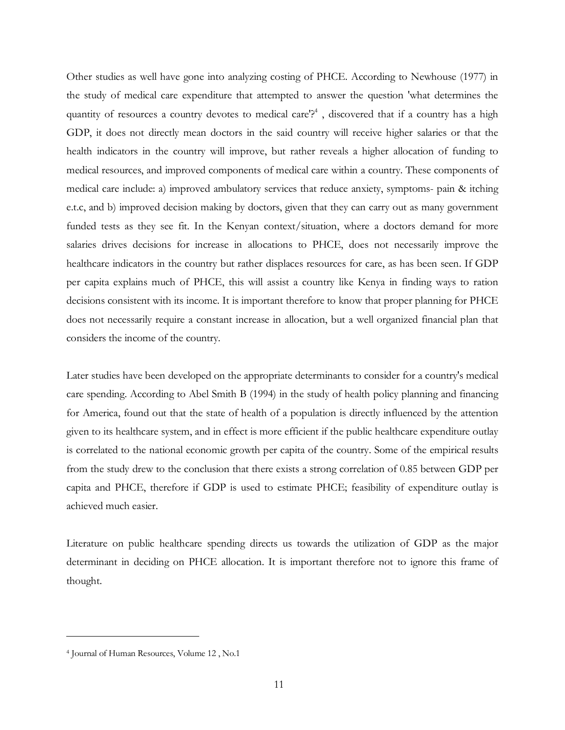Other studies as well have gone into analyzing costing of PHCE. According to Newhouse (1977) in the study of medical care expenditure that attempted to answer the question 'what determines the quantity of resources a country devotes to medical care'?<sup>4</sup>, discovered that if a country has a high GDP, it does not directly mean doctors in the said country will receive higher salaries or that the health indicators in the country will improve, but rather reveals a higher allocation of funding to medical resources, and improved components of medical care within a country. These components of medical care include: a) improved ambulatory services that reduce anxiety, symptoms- pain & itching e.t.c, and b) improved decision making by doctors, given that they can carry out as many government funded tests as they see fit. In the Kenyan context/situation, where a doctors demand for more salaries drives decisions for increase in allocations to PHCE, does not necessarily improve the healthcare indicators in the country but rather displaces resources for care, as has been seen. If GDP per capita explains much of PHCE, this will assist a country like Kenya in finding ways to ration decisions consistent with its income. It is important therefore to know that proper planning for PHCE does not necessarily require a constant increase in allocation, but a well organized financial plan that considers the income of the country.

Later studies have been developed on the appropriate determinants to consider for a country's medical care spending. According to Abel Smith B (1994) in the study of health policy planning and financing for America, found out that the state of health of a population is directly influenced by the attention given to its healthcare system, and in effect is more efficient if the public healthcare expenditure outlay is correlated to the national economic growth per capita of the country. Some of the empirical results from the study drew to the conclusion that there exists a strong correlation of 0.85 between GDP per capita and PHCE, therefore if GDP is used to estimate PHCE; feasibility of expenditure outlay is achieved much easier.

Literature on public healthcare spending directs us towards the utilization of GDP as the major determinant in deciding on PHCE allocation. It is important therefore not to ignore this frame of thought.

 $\overline{a}$ 

<sup>4</sup> Journal of Human Resources, Volume 12 , No.1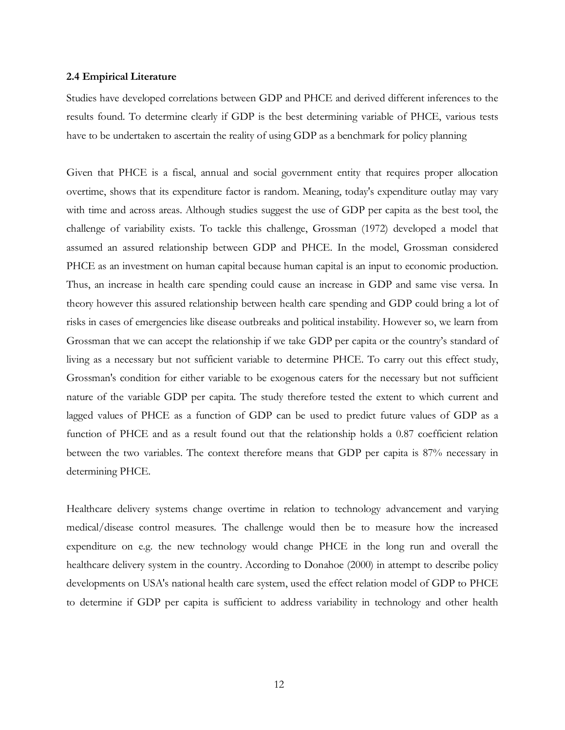#### **2.4 Empirical Literature**

Studies have developed correlations between GDP and PHCE and derived different inferences to the results found. To determine clearly if GDP is the best determining variable of PHCE, various tests have to be undertaken to ascertain the reality of using GDP as a benchmark for policy planning

Given that PHCE is a fiscal, annual and social government entity that requires proper allocation overtime, shows that its expenditure factor is random. Meaning, today's expenditure outlay may vary with time and across areas. Although studies suggest the use of GDP per capita as the best tool, the challenge of variability exists. To tackle this challenge, Grossman (1972) developed a model that assumed an assured relationship between GDP and PHCE. In the model, Grossman considered PHCE as an investment on human capital because human capital is an input to economic production. Thus, an increase in health care spending could cause an increase in GDP and same vise versa. In theory however this assured relationship between health care spending and GDP could bring a lot of risks in cases of emergencies like disease outbreaks and political instability. However so, we learn from Grossman that we can accept the relationship if we take GDP per capita or the country's standard of living as a necessary but not sufficient variable to determine PHCE. To carry out this effect study, Grossman's condition for either variable to be exogenous caters for the necessary but not sufficient nature of the variable GDP per capita. The study therefore tested the extent to which current and lagged values of PHCE as a function of GDP can be used to predict future values of GDP as a function of PHCE and as a result found out that the relationship holds a 0.87 coefficient relation between the two variables. The context therefore means that GDP per capita is 87% necessary in determining PHCE.

Healthcare delivery systems change overtime in relation to technology advancement and varying medical/disease control measures. The challenge would then be to measure how the increased expenditure on e.g. the new technology would change PHCE in the long run and overall the healthcare delivery system in the country. According to Donahoe (2000) in attempt to describe policy developments on USA's national health care system, used the effect relation model of GDP to PHCE to determine if GDP per capita is sufficient to address variability in technology and other health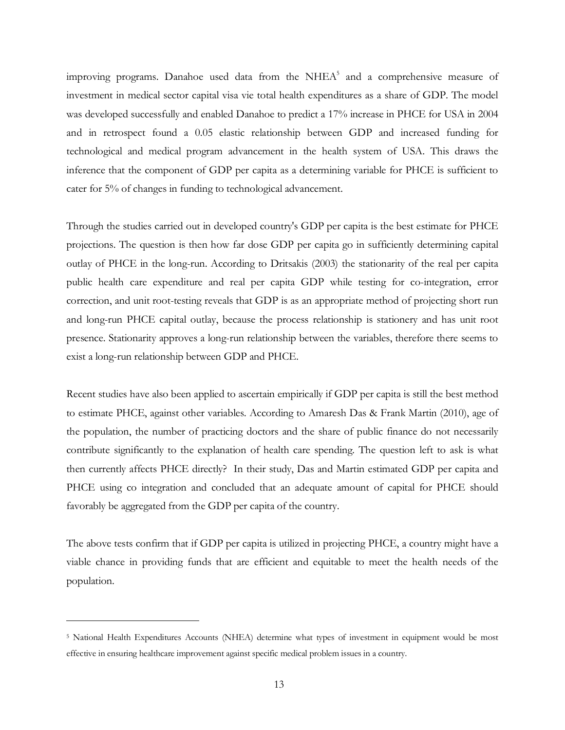improving programs. Danahoe used data from the NHE $A<sup>5</sup>$  and a comprehensive measure of investment in medical sector capital visa vie total health expenditures as a share of GDP. The model was developed successfully and enabled Danahoe to predict a 17% increase in PHCE for USA in 2004 and in retrospect found a 0.05 elastic relationship between GDP and increased funding for technological and medical program advancement in the health system of USA. This draws the inference that the component of GDP per capita as a determining variable for PHCE is sufficient to cater for 5% of changes in funding to technological advancement.

Through the studies carried out in developed country's GDP per capita is the best estimate for PHCE projections. The question is then how far dose GDP per capita go in sufficiently determining capital outlay of PHCE in the long-run. According to Dritsakis (2003) the stationarity of the real per capita public health care expenditure and real per capita GDP while testing for co-integration, error correction, and unit root-testing reveals that GDP is as an appropriate method of projecting short run and long-run PHCE capital outlay, because the process relationship is stationery and has unit root presence. Stationarity approves a long-run relationship between the variables, therefore there seems to exist a long-run relationship between GDP and PHCE.

Recent studies have also been applied to ascertain empirically if GDP per capita is still the best method to estimate PHCE, against other variables. According to Amaresh Das & Frank Martin (2010), age of the population, the number of practicing doctors and the share of public finance do not necessarily contribute significantly to the explanation of health care spending. The question left to ask is what then currently affects PHCE directly? In their study, Das and Martin estimated GDP per capita and PHCE using co integration and concluded that an adequate amount of capital for PHCE should favorably be aggregated from the GDP per capita of the country.

The above tests confirm that if GDP per capita is utilized in projecting PHCE, a country might have a viable chance in providing funds that are efficient and equitable to meet the health needs of the population.

 $\overline{a}$ 

<sup>5</sup> National Health Expenditures Accounts (NHEA) determine what types of investment in equipment would be most effective in ensuring healthcare improvement against specific medical problem issues in a country.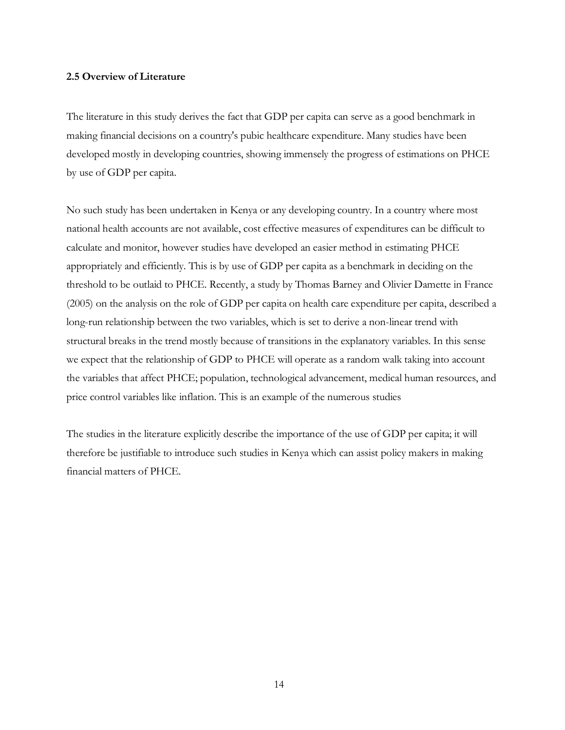#### **2.5 Overview of Literature**

The literature in this study derives the fact that GDP per capita can serve as a good benchmark in making financial decisions on a country's pubic healthcare expenditure. Many studies have been developed mostly in developing countries, showing immensely the progress of estimations on PHCE by use of GDP per capita.

No such study has been undertaken in Kenya or any developing country. In a country where most national health accounts are not available, cost effective measures of expenditures can be difficult to calculate and monitor, however studies have developed an easier method in estimating PHCE appropriately and efficiently. This is by use of GDP per capita as a benchmark in deciding on the threshold to be outlaid to PHCE. Recently, a study by Thomas Barney and Olivier Damette in France (2005) on the analysis on the role of GDP per capita on health care expenditure per capita, described a long-run relationship between the two variables, which is set to derive a non-linear trend with structural breaks in the trend mostly because of transitions in the explanatory variables. In this sense we expect that the relationship of GDP to PHCE will operate as a random walk taking into account the variables that affect PHCE; population, technological advancement, medical human resources, and price control variables like inflation. This is an example of the numerous studies

The studies in the literature explicitly describe the importance of the use of GDP per capita; it will therefore be justifiable to introduce such studies in Kenya which can assist policy makers in making financial matters of PHCE.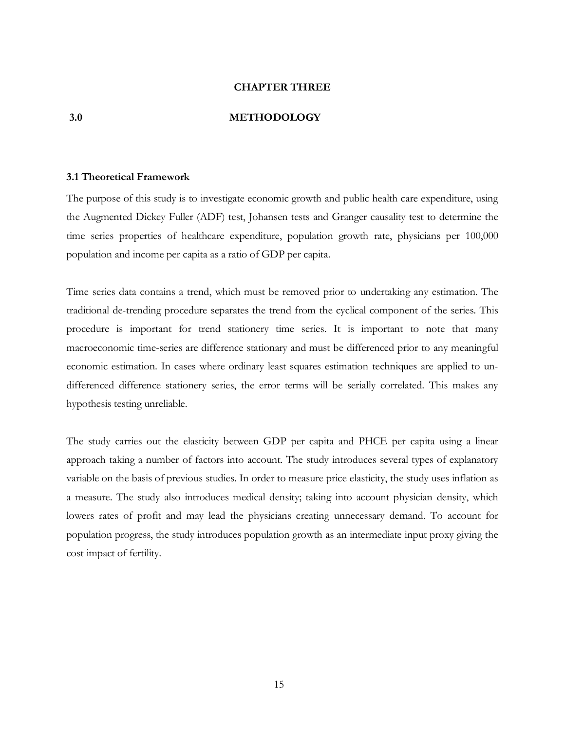#### **CHAPTER THREE**

#### **3.0 METHODOLOGY**

#### **3.1 Theoretical Framework**

The purpose of this study is to investigate economic growth and public health care expenditure, using the Augmented Dickey Fuller (ADF) test, Johansen tests and Granger causality test to determine the time series properties of healthcare expenditure, population growth rate, physicians per 100,000 population and income per capita as a ratio of GDP per capita.

Time series data contains a trend, which must be removed prior to undertaking any estimation. The traditional de-trending procedure separates the trend from the cyclical component of the series. This procedure is important for trend stationery time series. It is important to note that many macroeconomic time-series are difference stationary and must be differenced prior to any meaningful economic estimation. In cases where ordinary least squares estimation techniques are applied to undifferenced difference stationery series, the error terms will be serially correlated. This makes any hypothesis testing unreliable.

The study carries out the elasticity between GDP per capita and PHCE per capita using a linear approach taking a number of factors into account. The study introduces several types of explanatory variable on the basis of previous studies. In order to measure price elasticity, the study uses inflation as a measure. The study also introduces medical density; taking into account physician density, which lowers rates of profit and may lead the physicians creating unnecessary demand. To account for population progress, the study introduces population growth as an intermediate input proxy giving the cost impact of fertility.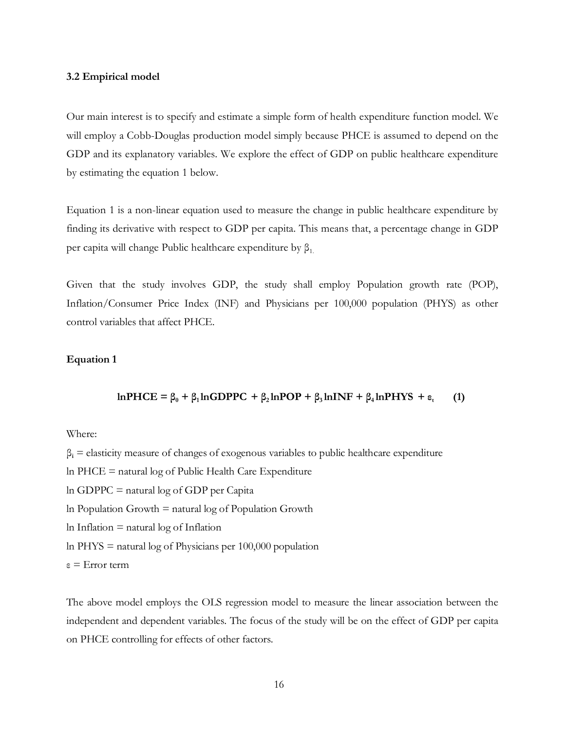#### **3.2 Empirical model**

Our main interest is to specify and estimate a simple form of health expenditure function model. We will employ a Cobb-Douglas production model simply because PHCE is assumed to depend on the GDP and its explanatory variables. We explore the effect of GDP on public healthcare expenditure by estimating the equation 1 below.

Equation 1 is a non-linear equation used to measure the change in public healthcare expenditure by finding its derivative with respect to GDP per capita. This means that, a percentage change in GDP per capita will change Public healthcare expenditure by  $β_1$ .

Given that the study involves GDP, the study shall employ Population growth rate (POP), Inflation/Consumer Price Index (INF) and Physicians per 100,000 population (PHYS) as other control variables that affect PHCE.

#### **Equation 1**

#### **lnPHCE** =  $\beta_0$  +  $\beta_1$ **lnGDPPC** +  $\beta_2$ **lnPOP** +  $\beta_3$ **lnINF** +  $\beta_4$ **lnPHYS** +  $\varepsilon_t$  **(1)**

#### Where:

β**i** = elasticity measure of changes of exogenous variables to public healthcare expenditure

ln PHCE = natural log of Public Health Care Expenditure

ln GDPPC = natural log of GDP per Capita

 $ln$  Population Growth  $=$  natural  $log$  of Population Growth

 $ln$  Inflation  $=$  natural  $log$  of Inflation

ln PHYS = natural log of Physicians per 100,000 population

ε = Error term

The above model employs the OLS regression model to measure the linear association between the independent and dependent variables. The focus of the study will be on the effect of GDP per capita on PHCE controlling for effects of other factors.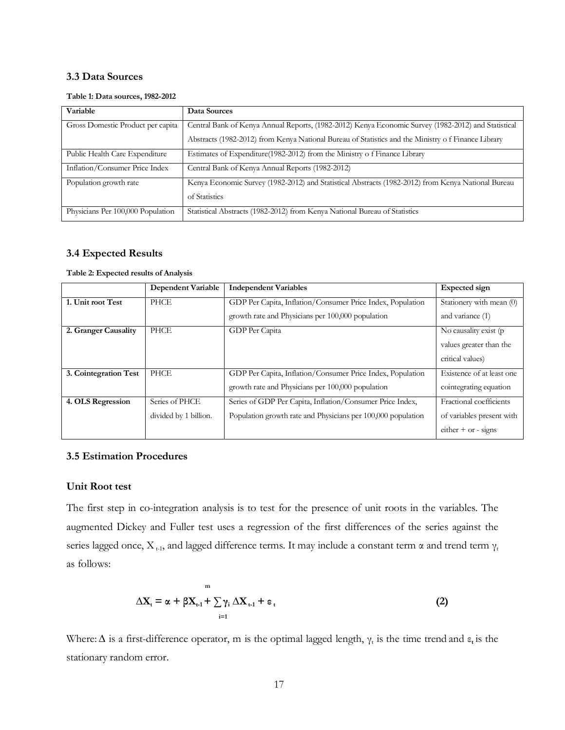#### **3.3 Data Sources**

#### **Table 1: Data sources, 1982-2012**

| Variable                          | Data Sources                                                                                        |
|-----------------------------------|-----------------------------------------------------------------------------------------------------|
| Gross Domestic Product per capita | Central Bank of Kenya Annual Reports, (1982-2012) Kenya Economic Survey (1982-2012) and Statistical |
|                                   | Abstracts (1982-2012) from Kenya National Bureau of Statistics and the Ministry of Finance Library  |
| Public Health Care Expenditure    | Estimates of Expenditure(1982-2012) from the Ministry of Finance Library                            |
| Inflation/Consumer Price Index    | Central Bank of Kenya Annual Reports (1982-2012)                                                    |
| Population growth rate            | Kenya Economic Survey (1982-2012) and Statistical Abstracts (1982-2012) from Kenya National Bureau  |
|                                   | of Statistics                                                                                       |
| Physicians Per 100,000 Population | Statistical Abstracts (1982-2012) from Kenya National Bureau of Statistics                          |

#### **3.4 Expected Results**

#### **Table 2: Expected results of Analysis**

|                       | <b>Dependent Variable</b> | <b>Independent Variables</b>                                 | <b>Expected</b> sign      |
|-----------------------|---------------------------|--------------------------------------------------------------|---------------------------|
| 1. Unit root Test     | <b>PHCE</b>               | GDP Per Capita, Inflation/Consumer Price Index, Population   | Stationery with mean (0)  |
|                       |                           | growth rate and Physicians per 100,000 population            | and variance (1)          |
| 2. Granger Causality  | PHCE                      | GDP Per Capita                                               | No causality exist (p)    |
|                       |                           |                                                              | values greater than the   |
|                       |                           |                                                              | critical values)          |
| 3. Cointegration Test | PHCE                      | GDP Per Capita, Inflation/Consumer Price Index, Population   | Existence of at least one |
|                       |                           | growth rate and Physicians per 100,000 population            | cointegrating equation    |
| 4. OLS Regression     | Series of PHCE            | Series of GDP Per Capita, Inflation/Consumer Price Index,    | Fractional coefficients   |
|                       | divided by 1 billion.     | Population growth rate and Physicians per 100,000 population | of variables present with |
|                       |                           |                                                              | either $+$ or - signs     |

# **3.5 Estimation Procedures**

#### **Unit Root test**

The first step in co-integration analysis is to test for the presence of unit roots in the variables. The augmented Dickey and Fuller test uses a regression of the first differences of the series against the series lagged once,  $X_{t-1}$ , and lagged difference terms. It may include a constant term  $\alpha$  and trend term  $\gamma_t$ as follows:

$$
\Delta \mathbf{X}_{t} = \alpha + \beta \mathbf{X}_{t-1} + \sum_{i=1}^{m} \gamma_{i} \Delta \mathbf{X}_{t-1} + \varepsilon_{t}
$$
\n(2)

Where:  $\Delta$  is a first-difference operator, m is the optimal lagged length,  $\gamma_t$  is the time trend and  $\varepsilon_t$  is the stationary random error.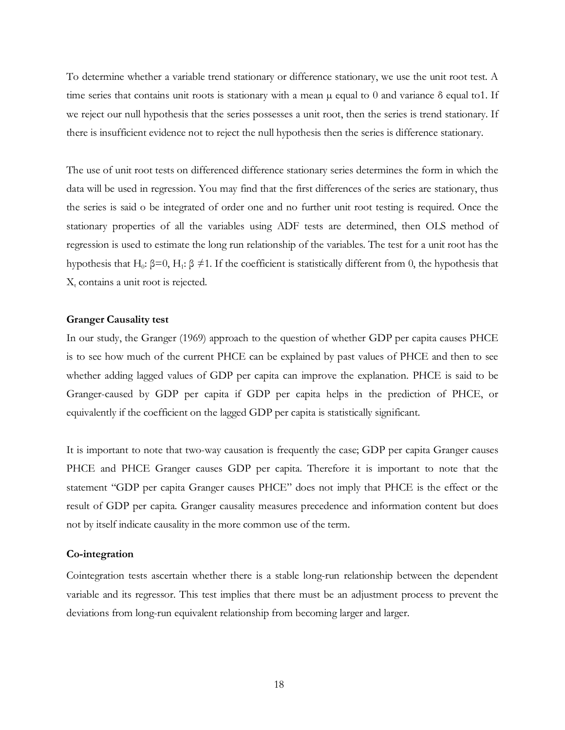To determine whether a variable trend stationary or difference stationary, we use the unit root test. A time series that contains unit roots is stationary with a mean  $\mu$  equal to 0 and variance  $\delta$  equal to 1. If we reject our null hypothesis that the series possesses a unit root, then the series is trend stationary. If there is insufficient evidence not to reject the null hypothesis then the series is difference stationary.

The use of unit root tests on differenced difference stationary series determines the form in which the data will be used in regression. You may find that the first differences of the series are stationary, thus the series is said o be integrated of order one and no further unit root testing is required. Once the stationary properties of all the variables using ADF tests are determined, then OLS method of regression is used to estimate the long run relationship of the variables. The test for a unit root has the hypothesis that H<sub>0</sub>: β=0, H<sub>1</sub>: β ≠1. If the coefficient is statistically different from 0, the hypothesis that  $X_t$  contains a unit root is rejected.

#### **Granger Causality test**

In our study, the Granger (1969) approach to the question of whether GDP per capita causes PHCE is to see how much of the current PHCE can be explained by past values of PHCE and then to see whether adding lagged values of GDP per capita can improve the explanation. PHCE is said to be Granger-caused by GDP per capita if GDP per capita helps in the prediction of PHCE, or equivalently if the coefficient on the lagged GDP per capita is statistically significant.

It is important to note that two-way causation is frequently the case; GDP per capita Granger causes PHCE and PHCE Granger causes GDP per capita. Therefore it is important to note that the statement "GDP per capita Granger causes PHCE" does not imply that PHCE is the effect or the result of GDP per capita. Granger causality measures precedence and information content but does not by itself indicate causality in the more common use of the term.

#### **Co-integration**

Cointegration tests ascertain whether there is a stable long-run relationship between the dependent variable and its regressor. This test implies that there must be an adjustment process to prevent the deviations from long-run equivalent relationship from becoming larger and larger.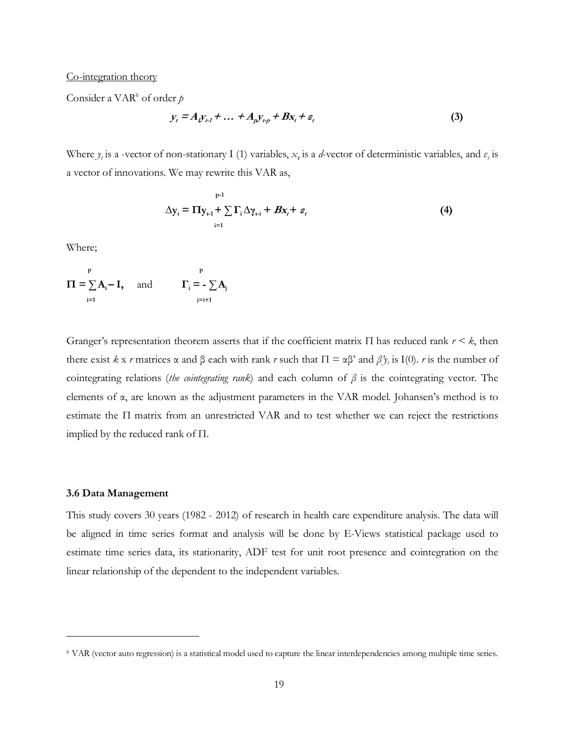#### Co-integration theory

Consider a VAR<sup>6</sup> of order p

$$
y_t = A_t y_{t-1} + \dots + A_p y_{t-p} + B x_t + \varepsilon_t \tag{3}
$$

Where  $y_t$  is a -vector of non-stationary I (1) variables,  $x_t$  is a *d*-vector of deterministic variables, and  $\varepsilon_t$  is a vector of innovations. We may rewrite this VAR as,

$$
\Delta y_{t} = \Pi y_{t-1} + \sum_{i=1}^{p-1} \Gamma_{i} \Delta \gamma_{t-i} + Bx_{t} + \varepsilon_{t}
$$
\n(4)

Where;

$$
\Pi = \sum_{i=1}^{p} A_i - I, \quad \text{and} \quad \Gamma_i = -\sum_{j=i+1}^{p} A_j
$$

Granger's representation theorem asserts that if the coefficient matrix Π has reduced rank *r < k*, then there exist *k* x *r* matrices  $\alpha$  and  $\beta$  each with rank *r* such that  $\Pi = \alpha \beta'$  and  $\beta' y_t$  is I(0). *r* is the number of cointegrating relations (*the cointegrating rank*) and each column of *β* is the cointegrating vector. The elements of  $\alpha$ , are known as the adjustment parameters in the VAR model. Johansen's method is to estimate the  $\Pi$  matrix from an unrestricted VAR and to test whether we can reject the restrictions implied by the reduced rank of Π.

#### **3.6 Data Management**

 $\overline{a}$ 

This study covers 30 years (1982 - 2012) of research in health care expenditure analysis. The data will be aligned in time series format and analysis will be done by E-Views statistical package used to estimate time series data, its stationarity, ADF test for unit root presence and cointegration on the linear relationship of the dependent to the independent variables.

<sup>6</sup> VAR (vector auto regression) is a statistical model used to capture the linear interdependencies among multiple time series.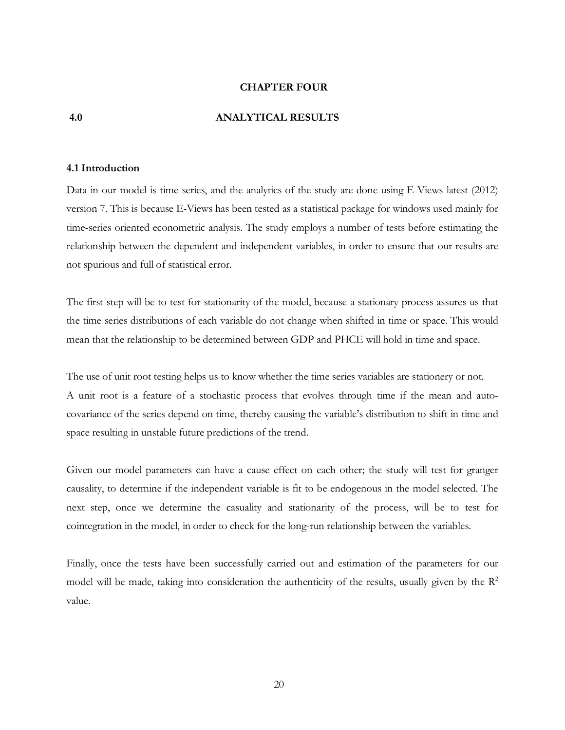#### **CHAPTER FOUR**

#### **4.0 ANALYTICAL RESULTS**

#### **4.1 Introduction**

Data in our model is time series, and the analytics of the study are done using E-Views latest (2012) version 7. This is because E-Views has been tested as a statistical package for windows used mainly for time-series oriented econometric analysis. The study employs a number of tests before estimating the relationship between the dependent and independent variables, in order to ensure that our results are not spurious and full of statistical error.

The first step will be to test for stationarity of the model, because a stationary process assures us that the time series distributions of each variable do not change when shifted in time or space. This would mean that the relationship to be determined between GDP and PHCE will hold in time and space.

The use of unit root testing helps us to know whether the time series variables are stationery or not. A unit root is a feature of a stochastic process that evolves through time if the mean and autocovariance of the series depend on time, thereby causing the variable's distribution to shift in time and space resulting in unstable future predictions of the trend.

Given our model parameters can have a cause effect on each other; the study will test for granger causality, to determine if the independent variable is fit to be endogenous in the model selected. The next step, once we determine the casuality and stationarity of the process, will be to test for cointegration in the model, in order to check for the long-run relationship between the variables.

Finally, once the tests have been successfully carried out and estimation of the parameters for our model will be made, taking into consideration the authenticity of the results, usually given by the  $\mathbb{R}^2$ value.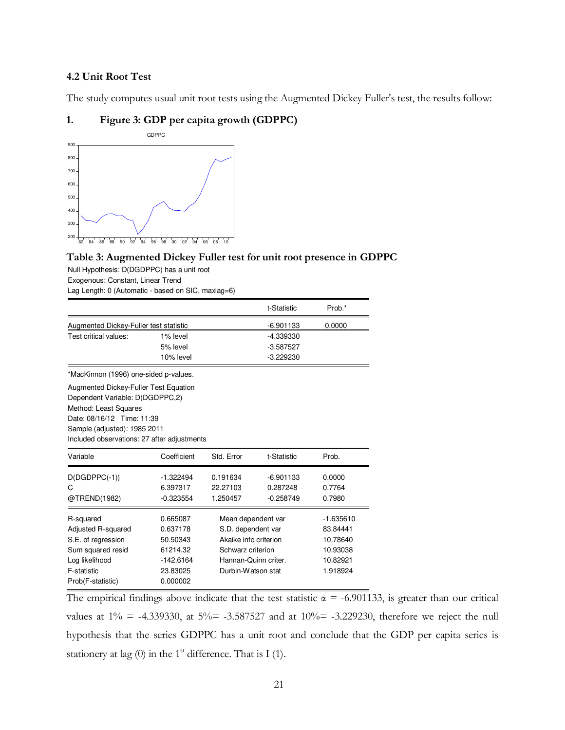### **4.2 Unit Root Test**

The study computes usual unit root tests using the Augmented Dickey Fuller's test, the results follow:

#### **1. Figure 3: GDP per capita growth (GDPPC)**



# **Table 3: Augmented Dickey Fuller test for unit root presence in GDPPC**

Null Hypothesis: D(DGDPPC) has a unit root Exogenous: Constant, Linear Trend Lag Length: 0 (Automatic - based on SIC, maxlag=6)

|                                             |             |                       | t-Statistic | Prob.*      |
|---------------------------------------------|-------------|-----------------------|-------------|-------------|
| Augmented Dickey-Fuller test statistic      |             |                       | $-6.901133$ | 0.0000      |
| Test critical values:                       | 1% level    |                       | -4.339330   |             |
|                                             | 5% level    |                       | $-3.587527$ |             |
|                                             | 10% level   |                       | $-3.229230$ |             |
| *MacKinnon (1996) one-sided p-values.       |             |                       |             |             |
| Augmented Dickey-Fuller Test Equation       |             |                       |             |             |
| Dependent Variable: D(DGDPPC,2)             |             |                       |             |             |
| Method: Least Squares                       |             |                       |             |             |
| Date: 08/16/12 Time: 11:39                  |             |                       |             |             |
| Sample (adjusted): 1985 2011                |             |                       |             |             |
| Included observations: 27 after adjustments |             |                       |             |             |
| Variable                                    | Coefficient | Std. Error            | t-Statistic | Prob.       |
| $D(DGDPPC(-1))$                             | $-1.322494$ | 0.191634              | $-6.901133$ | 0.0000      |
| C                                           | 6.397317    | 22.27103              | 0.287248    | 0.7764      |
| @TREND(1982)                                | $-0.323554$ | 1.250457              | $-0.258749$ | 0.7980      |
| R-squared                                   | 0.665087    | Mean dependent var    |             | $-1.635610$ |
| Adjusted R-squared                          | 0.637178    | S.D. dependent var    |             | 83.84441    |
| S.E. of regression                          | 50.50343    | Akaike info criterion |             | 10.78640    |
| Sum squared resid                           | 61214.32    | Schwarz criterion     |             | 10.93038    |
| Log likelihood                              | $-142.6164$ | Hannan-Quinn criter.  |             | 10.82921    |
| F-statistic                                 | 23.83025    | Durbin-Watson stat    |             | 1.918924    |
| Prob(F-statistic)                           | 0.000002    |                       |             |             |

The empirical findings above indicate that the test statistic  $\alpha = -6.901133$ , is greater than our critical values at  $1\% = -4.339330$ , at  $5\% = -3.587527$  and at  $10\% = -3.229230$ , therefore we reject the null hypothesis that the series GDPPC has a unit root and conclude that the GDP per capita series is stationery at lag  $(0)$  in the 1<sup>st</sup> difference. That is I  $(1)$ .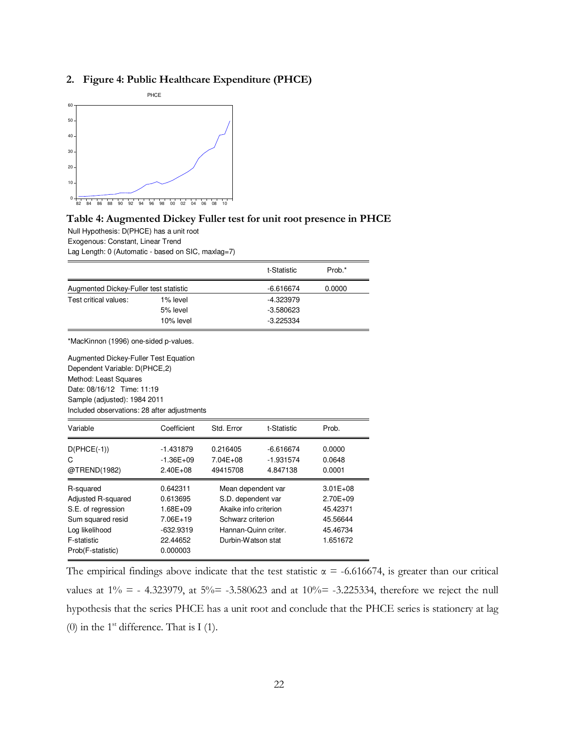#### **2. Figure 4: Public Healthcare Expenditure (PHCE)**



#### **Table 4: Augmented Dickey Fuller test for unit root presence in PHCE**

Null Hypothesis: D(PHCE) has a unit root Exogenous: Constant, Linear Trend

Lag Length: 0 (Automatic - based on SIC, maxlag=7)

|                                             |               |                       | t-Statistic | Prob.*       |
|---------------------------------------------|---------------|-----------------------|-------------|--------------|
| Augmented Dickey-Fuller test statistic      |               |                       | -6.616674   | 0.0000       |
| Test critical values:                       | 1% level      |                       | $-4.323979$ |              |
|                                             | 5% level      |                       | $-3.580623$ |              |
|                                             | 10% level     |                       | $-3.225334$ |              |
| *MacKinnon (1996) one-sided p-values.       |               |                       |             |              |
| Augmented Dickey-Fuller Test Equation       |               |                       |             |              |
| Dependent Variable: D(PHCE,2)               |               |                       |             |              |
| Method: Least Squares                       |               |                       |             |              |
| Date: 08/16/12 Time: 11:19                  |               |                       |             |              |
| Sample (adjusted): 1984 2011                |               |                       |             |              |
| Included observations: 28 after adjustments |               |                       |             |              |
| Variable                                    | Coefficient   | Std. Error            | t-Statistic | Prob.        |
| $D(PHCE(-1))$                               | $-1.431879$   | 0.216405              | $-6.616674$ | 0.0000       |
| C                                           | $-1.36E + 09$ | $7.04E + 08$          | $-1.931574$ | 0.0648       |
| @TREND(1982)                                | $2.40E + 08$  | 49415708              | 4.847138    | 0.0001       |
| R-squared                                   | 0.642311      | Mean dependent var    |             | $3.01E + 08$ |
| Adjusted R-squared                          | 0.613695      | S.D. dependent var    |             | 2.70E+09     |
| S.E. of regression                          | $1.68E + 09$  | Akaike info criterion |             | 45.42371     |
| Sum squared resid                           | 7.06E+19      | Schwarz criterion     |             | 45.56644     |
| Log likelihood                              | -632.9319     | Hannan-Quinn criter.  |             | 45.46734     |
| F-statistic                                 | 22.44652      | Durbin-Watson stat    |             | 1.651672     |
| Prob(F-statistic)                           | 0.000003      |                       |             |              |

The empirical findings above indicate that the test statistic  $\alpha$  = -6.616674, is greater than our critical values at  $1\% = -4.323979$ , at  $5\% = -3.580623$  and at  $10\% = -3.225334$ , therefore we reject the null hypothesis that the series PHCE has a unit root and conclude that the PHCE series is stationery at lag (0) in the  $1<sup>st</sup>$  difference. That is I (1).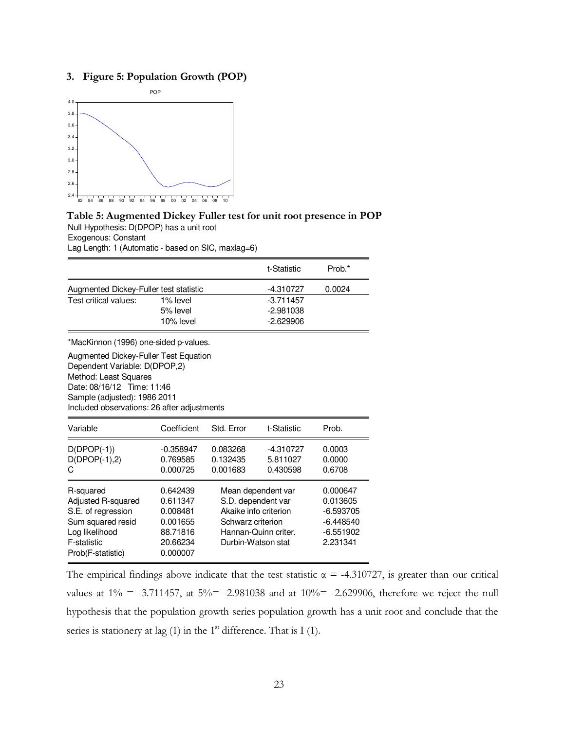#### **3. Figure 5: Population Growth (POP)**



#### **Table 5: Augmented Dickey Fuller test for unit root presence in POP**  Null Hypothesis: D(DPOP) has a unit root

Exogenous: Constant

Lag Length: 1 (Automatic - based on SIC, maxlag=6)

|                                                                                                                                                                     |             |            | t-Statistic | Prob.* |
|---------------------------------------------------------------------------------------------------------------------------------------------------------------------|-------------|------------|-------------|--------|
| Augmented Dickey-Fuller test statistic                                                                                                                              |             |            | $-4.310727$ | 0.0024 |
| Test critical values:                                                                                                                                               | 1% level    |            |             |        |
|                                                                                                                                                                     | 5% level    |            |             |        |
|                                                                                                                                                                     | 10% level   |            |             |        |
| *MacKinnon (1996) one-sided p-values.                                                                                                                               |             |            |             |        |
| Dependent Variable: D(DPOP,2)<br>Method: Least Squares<br>Date: 08/16/12 Time: 11:46<br>Sample (adjusted): 1986 2011<br>Included observations: 26 after adjustments |             |            |             |        |
| Variable                                                                                                                                                            | Coefficient | Std. Error | t-Statistic | Prob.  |
| $D(DPOP(-1))$                                                                                                                                                       | $-0.358947$ | 0.083268   | $-4.310727$ | 0.0003 |
| $D(DPOP(-1),2)$                                                                                                                                                     |             |            |             |        |
|                                                                                                                                                                     | 0.769585    | 0.132435   | 5.811027    | 0.0000 |
| C                                                                                                                                                                   | 0.000725    | 0.001683   | 0.430598    | 0.6708 |

The empirical findings above indicate that the test statistic  $\alpha$  = -4.310727, is greater than our critical values at  $1\% = -3.711457$ , at  $5\% = -2.981038$  and at  $10\% = -2.629906$ , therefore we reject the null hypothesis that the population growth series population growth has a unit root and conclude that the series is stationery at lag (1) in the  $1<sup>st</sup>$  difference. That is I (1).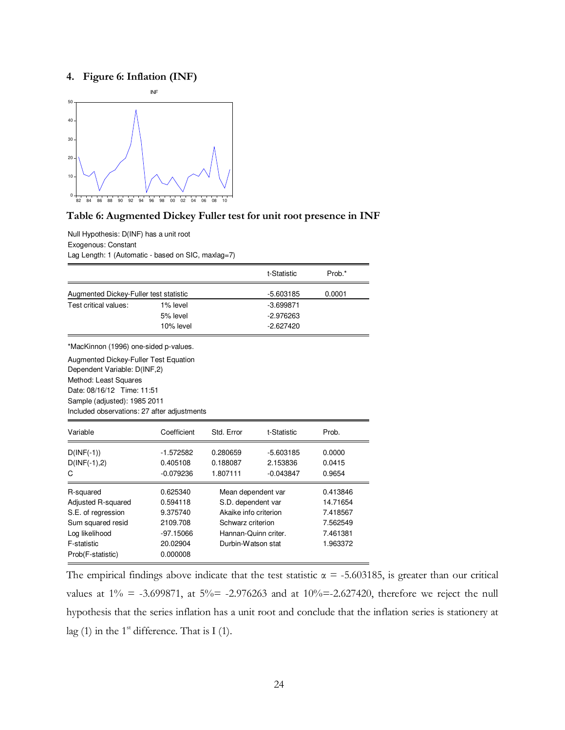#### **4. Figure 6: Inflation (INF)**



#### **Table 6: Augmented Dickey Fuller test for unit root presence in INF**

Null Hypothesis: D(INF) has a unit root Exogenous: Constant Lag Length: 1 (Automatic - based on SIC, maxlag=7)

|                                             |             |                      | t-Statistic           | Prob.*   |
|---------------------------------------------|-------------|----------------------|-----------------------|----------|
| Augmented Dickey-Fuller test statistic      |             |                      | $-5.603185$           | 0.0001   |
| Test critical values:                       | 1% level    |                      | $-3.699871$           |          |
|                                             | 5% level    |                      | $-2.976263$           |          |
|                                             | 10% level   |                      | $-2.627420$           |          |
| *MacKinnon (1996) one-sided p-values.       |             |                      |                       |          |
| Augmented Dickey-Fuller Test Equation       |             |                      |                       |          |
| Dependent Variable: D(INF,2)                |             |                      |                       |          |
| Method: Least Squares                       |             |                      |                       |          |
| Date: 08/16/12 Time: 11:51                  |             |                      |                       |          |
| Sample (adjusted): 1985 2011                |             |                      |                       |          |
| Included observations: 27 after adjustments |             |                      |                       |          |
| Variable                                    | Coefficient | Std. Error           | t-Statistic           | Prob.    |
| $D(INF(-1))$                                | -1.572582   | 0.280659             | $-5.603185$           | 0.0000   |
| $D(INF(-1), 2)$                             | 0.405108    | 0.188087             | 2.153836              | 0.0415   |
| С                                           | $-0.079236$ | 1.807111             | $-0.043847$           | 0.9654   |
| R-squared                                   | 0.625340    | Mean dependent var   |                       | 0.413846 |
| Adjusted R-squared                          | 0.594118    | S.D. dependent var   |                       | 14.71654 |
| S.E. of regression                          | 9.375740    |                      | Akaike info criterion |          |
| Sum squared resid                           | 2109.708    | Schwarz criterion    |                       | 7.562549 |
| Log likelihood                              | $-97.15066$ | Hannan-Quinn criter. |                       | 7.461381 |
| F-statistic                                 | 20.02904    | Durbin-Watson stat   |                       | 1.963372 |
| Prob(F-statistic)                           | 0.000008    |                      |                       |          |

The empirical findings above indicate that the test statistic  $\alpha = -5.603185$ , is greater than our critical values at  $1\% = -3.699871$ , at  $5\% = -2.976263$  and at  $10\% = -2.627420$ , therefore we reject the null hypothesis that the series inflation has a unit root and conclude that the inflation series is stationery at lag (1) in the  $1<sup>st</sup>$  difference. That is I (1).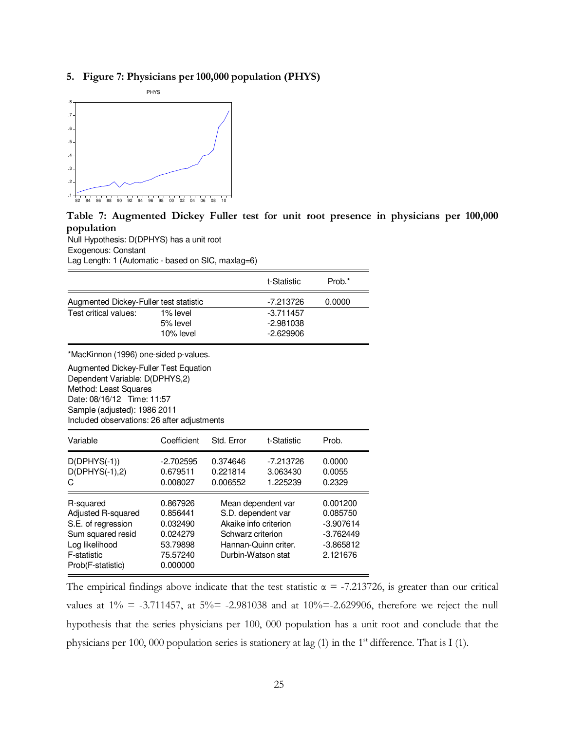### **5. Figure 7: Physicians per 100,000 population (PHYS)**



**Table 7: Augmented Dickey Fuller test for unit root presence in physicians per 100,000 population** 

Null Hypothesis: D(DPHYS) has a unit root Exogenous: Constant

Lag Length: 1 (Automatic - based on SIC, maxlag=6)

|                                                                                                                                                                                                               |                                                          |                                                                                                                                      | t-Statistic                         | Prob.*                                                            |
|---------------------------------------------------------------------------------------------------------------------------------------------------------------------------------------------------------------|----------------------------------------------------------|--------------------------------------------------------------------------------------------------------------------------------------|-------------------------------------|-------------------------------------------------------------------|
| Augmented Dickey-Fuller test statistic                                                                                                                                                                        |                                                          |                                                                                                                                      | -7.213726                           | 0.0000                                                            |
| Test critical values:                                                                                                                                                                                         | 1% level                                                 |                                                                                                                                      | $-3.711457$                         |                                                                   |
|                                                                                                                                                                                                               | 5% level<br>10% level                                    |                                                                                                                                      | $-2.981038$<br>$-2.629906$          |                                                                   |
|                                                                                                                                                                                                               |                                                          |                                                                                                                                      |                                     |                                                                   |
| *MacKinnon (1996) one-sided p-values.                                                                                                                                                                         |                                                          |                                                                                                                                      |                                     |                                                                   |
| Augmented Dickey-Fuller Test Equation<br>Dependent Variable: D(DPHYS,2)<br>Method: Least Squares<br>Date: 08/16/12 Time: 11:57<br>Sample (adjusted): 1986 2011<br>Included observations: 26 after adjustments |                                                          |                                                                                                                                      |                                     |                                                                   |
| Variable                                                                                                                                                                                                      | Coefficient                                              | Std. Error                                                                                                                           | t-Statistic                         | Prob.                                                             |
| $D(DPHYS(-1))$<br>$D(DPHYS(-1),2)$<br>С                                                                                                                                                                       | -2.702595<br>0.679511<br>0.008027                        | 0.374646<br>0.221814<br>0.006552                                                                                                     | $-7.213726$<br>3.063430<br>1.225239 | 0.0000<br>0.0055<br>0.2329                                        |
| R-squared<br>Adjusted R-squared<br>S.E. of regression<br>Sum squared resid<br>Log likelihood                                                                                                                  | 0.867926<br>0.856441<br>0.032490<br>0.024279<br>53.79898 | Mean dependent var<br>S.D. dependent var<br>Akaike info criterion<br>Schwarz criterion<br>Hannan-Quinn criter.<br>Durbin-Watson stat |                                     | 0.001200<br>0.085750<br>$-3.907614$<br>$-3.762449$<br>$-3.865812$ |
| F-statistic<br>Prob(F-statistic)                                                                                                                                                                              | 75.57240<br>0.000000                                     |                                                                                                                                      |                                     | 2.121676                                                          |

The empirical findings above indicate that the test statistic  $\alpha = -7.213726$ , is greater than our critical values at  $1\% = -3.711457$ , at  $5\% = -2.981038$  and at  $10\% = -2.629906$ , therefore we reject the null hypothesis that the series physicians per 100, 000 population has a unit root and conclude that the physicians per 100, 000 population series is stationery at lag  $(1)$  in the 1<sup>st</sup> difference. That is I  $(1)$ .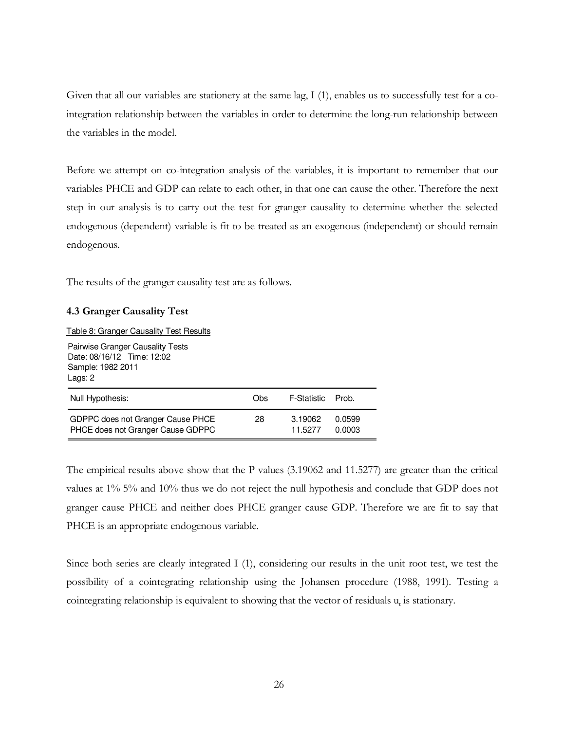Given that all our variables are stationery at the same lag, I (1), enables us to successfully test for a cointegration relationship between the variables in order to determine the long-run relationship between the variables in the model.

Before we attempt on co-integration analysis of the variables, it is important to remember that our variables PHCE and GDP can relate to each other, in that one can cause the other. Therefore the next step in our analysis is to carry out the test for granger causality to determine whether the selected endogenous (dependent) variable is fit to be treated as an exogenous (independent) or should remain endogenous.

The results of the granger causality test are as follows.

#### **4.3 Granger Causality Test**

Table 8: Granger Causality Test Results

Pairwise Granger Causality Tests Date: 08/16/12 Time: 12:02 Sample: 1982 2011 Lags: 2

| Null Hypothesis:                  | Obs. | F-Statistic | Prob.  |
|-----------------------------------|------|-------------|--------|
| GDPPC does not Granger Cause PHCE | 28   | 3.19062     | 0.0599 |
| PHCE does not Granger Cause GDPPC |      | 11.5277     | 0.0003 |

The empirical results above show that the P values (3.19062 and 11.5277) are greater than the critical values at 1% 5% and 10% thus we do not reject the null hypothesis and conclude that GDP does not granger cause PHCE and neither does PHCE granger cause GDP. Therefore we are fit to say that PHCE is an appropriate endogenous variable.

Since both series are clearly integrated I (1), considering our results in the unit root test, we test the possibility of a cointegrating relationship using the Johansen procedure (1988, 1991). Testing a cointegrating relationship is equivalent to showing that the vector of residuals  $u_t$  is stationary.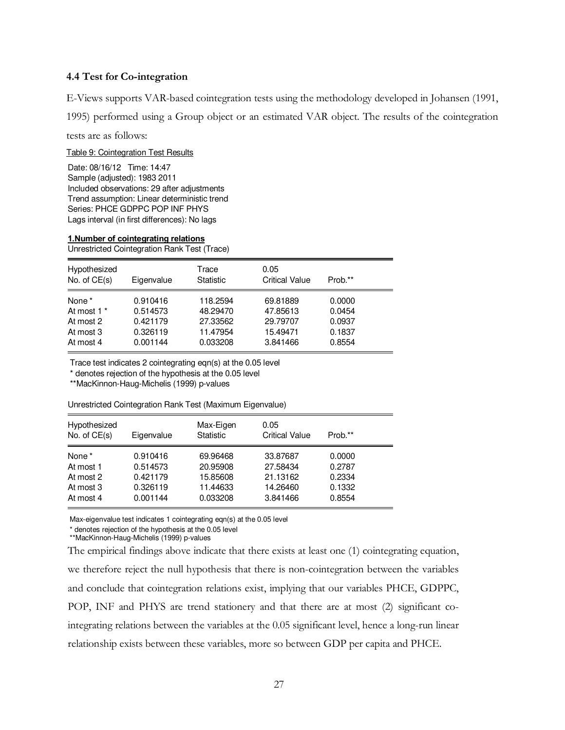#### **4.4 Test for Co-integration**

E-Views supports VAR-based cointegration tests using the methodology developed in Johansen (1991,

1995) performed using a Group object or an estimated VAR object. The results of the cointegration

tests are as follows:

Table 9: Cointegration Test Results

Date: 08/16/12 Time: 14:47 Sample (adjusted): 1983 2011 Included observations: 29 after adjustments Trend assumption: Linear deterministic trend Series: PHCE GDPPC POP INF PHYS Lags interval (in first differences): No lags

#### **1.Number of cointegrating relations**

Unrestricted Cointegration Rank Test (Trace)

| Hypothesized<br>No. of $CE(s)$ | Eigenvalue | Trace<br>Statistic | 0.05<br><b>Critical Value</b> | Prob.** |  |
|--------------------------------|------------|--------------------|-------------------------------|---------|--|
| None <sup>*</sup>              | 0.910416   | 118.2594           | 69.81889                      | 0.0000  |  |
| At most 1 <sup>*</sup>         | 0.514573   | 48.29470           | 47.85613                      | 0.0454  |  |
| At most 2                      | 0.421179   | 27.33562           | 29.79707                      | 0.0937  |  |
| At most 3                      | 0.326119   | 11.47954           | 15.49471                      | 0.1837  |  |
| At most 4                      | 0.001144   | 0.033208           | 3.841466                      | 0.8554  |  |

Trace test indicates 2 cointegrating eqn(s) at the 0.05 level

\* denotes rejection of the hypothesis at the 0.05 level

\*\*MacKinnon-Haug-Michelis (1999) p-values

Unrestricted Cointegration Rank Test (Maximum Eigenvalue)

| Hypothesized<br>No. of $CE(s)$ | Eigenvalue | Max-Eigen<br><b>Statistic</b> | 0.05<br><b>Critical Value</b> | Prob.** |  |
|--------------------------------|------------|-------------------------------|-------------------------------|---------|--|
| None <sup>*</sup>              | 0.910416   | 69.96468                      | 33.87687                      | 0.0000  |  |
| At most 1                      | 0.514573   | 20.95908                      | 27.58434                      | 0.2787  |  |
| At most 2                      | 0.421179   | 15.85608                      | 21.13162                      | 0.2334  |  |
| At most 3                      | 0.326119   | 11.44633                      | 14.26460                      | 0.1332  |  |
| At most 4                      | 0.001144   | 0.033208                      | 3.841466                      | 0.8554  |  |

Max-eigenvalue test indicates 1 cointegrating eqn(s) at the 0.05 level

\* denotes rejection of the hypothesis at the 0.05 level

\*\*MacKinnon-Haug-Michelis (1999) p-values

The empirical findings above indicate that there exists at least one (1) cointegrating equation, we therefore reject the null hypothesis that there is non-cointegration between the variables and conclude that cointegration relations exist, implying that our variables PHCE, GDPPC, POP, INF and PHYS are trend stationery and that there are at most (2) significant cointegrating relations between the variables at the 0.05 significant level, hence a long-run linear relationship exists between these variables, more so between GDP per capita and PHCE.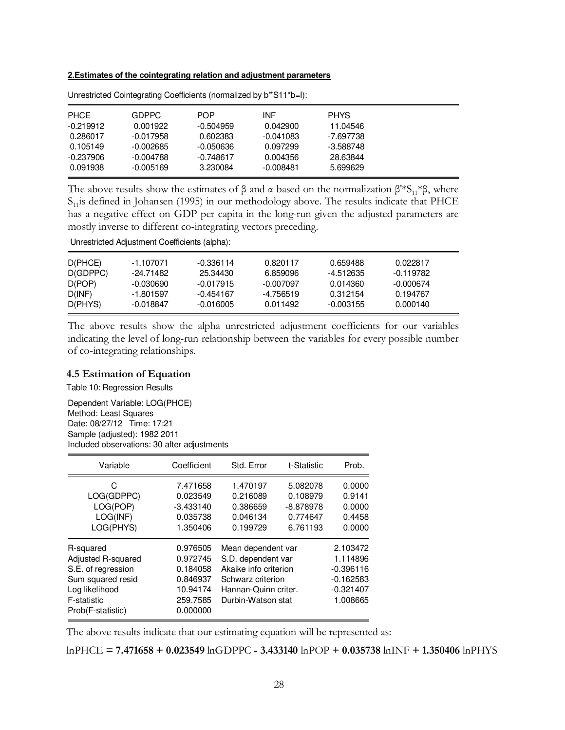#### **2.Estimates of the cointegrating relation and adjustment parameters**

| <b>PHCE</b> | GDPPC.      | <b>POP</b>  | INF         | <b>PHYS</b> |  |
|-------------|-------------|-------------|-------------|-------------|--|
| $-0.219912$ | 0.001922    | $-0.504959$ | 0.042900    | 11.04546    |  |
| 0.286017    | $-0.017958$ | 0.602383    | $-0.041083$ | -7.697738   |  |
| 0.105149    | $-0.002685$ | -0.050636   | 0.097299    | -3.588748   |  |
| -0.237906   | $-0.004788$ | $-0.748617$ | 0.004356    | 28.63844    |  |
| 0.091938    | $-0.005169$ | 3.230084    | $-0.008481$ | 5.699629    |  |

Unrestricted Cointegrating Coefficients (normalized by b'\*S11\*b=I):

The above results show the estimates of  $\beta$  and  $\alpha$  based on the normalization  $\beta$ <sup>'\*</sup>S<sub>11</sub><sup>\*</sup> $\beta$ , where  $S<sub>11</sub>$  is defined in Johansen (1995) in our methodology above. The results indicate that PHCE has a negative effect on GDP per capita in the long-run given the adjusted parameters are mostly inverse to different co-integrating vectors preceding.

Unrestricted Adjustment Coefficients (alpha):

| D(PHCE)<br>D(GDPPC)<br>D(POP) | -1.107071<br>-24.71482<br>-0.030690 | -0.336114<br>25.34430<br>$-0.017915$ | 0.820117<br>6.859096<br>-0.007097 | 0.659488<br>-4.512635<br>0.014360 | 0.022817<br>-0.119782<br>-0.000674 |  |
|-------------------------------|-------------------------------------|--------------------------------------|-----------------------------------|-----------------------------------|------------------------------------|--|
| D(INF)                        | -1.801597                           | -0.454167                            | -4.756519                         | 0.312154                          | 0.194767                           |  |
| D(PHYS)                       | -0.018847                           | -0.016005                            | 0.011492                          | -0.003155                         | 0.000140                           |  |

The above results show the alpha unrestricted adjustment coefficients for our variables indicating the level of long-run relationship between the variables for every possible number of co-integrating relationships.

#### **4.5 Estimation of Equation**

Table 10: Regression Results

Dependent Variable: LOG(PHCE) Method: Least Squares Date: 08/27/12 Time: 17:21 Sample (adjusted): 1982 2011 Included observations: 30 after adjustments

| Variable                                                                                                                         | Coefficient                                                                      | Std. Error                                                                                                                           | t-Statistic                                                 | Prob.                                                                         |
|----------------------------------------------------------------------------------------------------------------------------------|----------------------------------------------------------------------------------|--------------------------------------------------------------------------------------------------------------------------------------|-------------------------------------------------------------|-------------------------------------------------------------------------------|
| C<br>LOG(GDPPC)<br>LOG(POP)<br>LOG(INF)<br>LOG(PHYS)                                                                             | 7.471658<br>0.023549<br>$-3.433140$<br>0.035738<br>1.350406                      | 1.470197<br>0.216089<br>0.386659<br>0.046134<br>0.199729                                                                             | 5.082078<br>0.108979<br>$-8.878978$<br>0.774647<br>6.761193 | 0.0000<br>0.9141<br>0.0000<br>0.4458<br>0.0000                                |
| R-squared<br>Adjusted R-squared<br>S.E. of regression<br>Sum squared resid<br>Log likelihood<br>F-statistic<br>Prob(F-statistic) | 0.976505<br>0.972745<br>0.184058<br>0.846937<br>10.94174<br>259.7585<br>0.000000 | Mean dependent var<br>S.D. dependent var<br>Akaike info criterion<br>Schwarz criterion<br>Hannan-Quinn criter.<br>Durbin-Watson stat |                                                             | 2.103472<br>1.114896<br>$-0.396116$<br>$-0.162583$<br>$-0.321407$<br>1.008665 |

The above results indicate that our estimating equation will be represented as:

lnPHCE **= 7.471658 + 0.023549** lnGDPPC **- 3.433140** lnPOP **+ 0.035738** lnINF **+ 1.350406** lnPHYS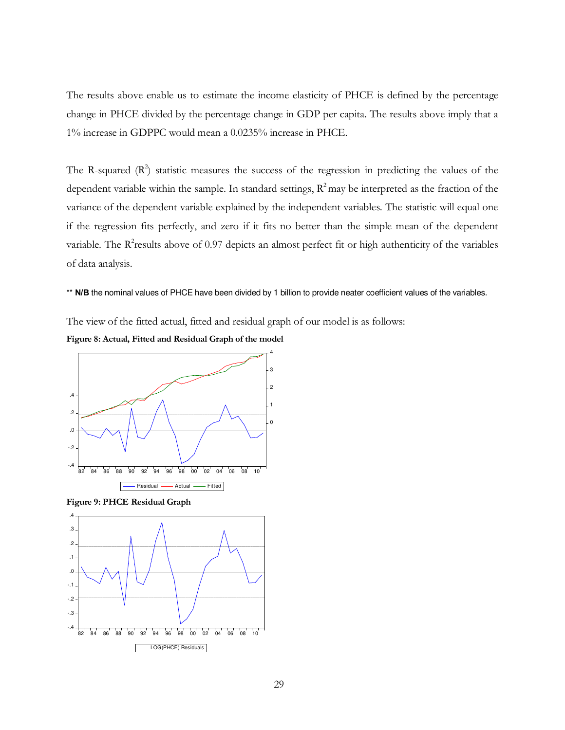The results above enable us to estimate the income elasticity of PHCE is defined by the percentage change in PHCE divided by the percentage change in GDP per capita. The results above imply that a 1% increase in GDPPC would mean a 0.0235% increase in PHCE.

The R-squared  $(R^2)$  statistic measures the success of the regression in predicting the values of the dependent variable within the sample. In standard settings,  $R^2$  may be interpreted as the fraction of the variance of the dependent variable explained by the independent variables. The statistic will equal one if the regression fits perfectly, and zero if it fits no better than the simple mean of the dependent variable. The  $R^2$ results above of 0.97 depicts an almost perfect fit or high authenticity of the variables of data analysis.

\*\* N/B the nominal values of PHCE have been divided by 1 billion to provide neater coefficient values of the variables.

The view of the fitted actual, fitted and residual graph of our model is as follows:





**Figure 9: PHCE Residual Graph** 

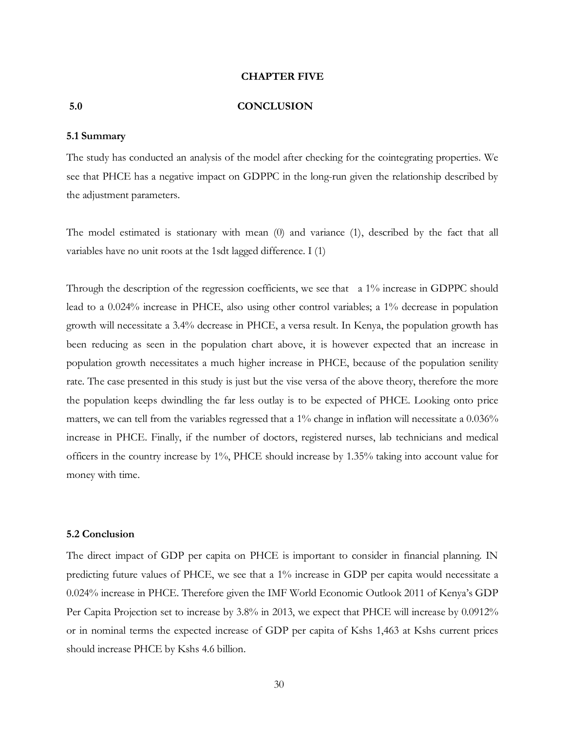#### **CHAPTER FIVE**

#### **5.0 CONCLUSION**

#### **5.1 Summary**

The study has conducted an analysis of the model after checking for the cointegrating properties. We see that PHCE has a negative impact on GDPPC in the long-run given the relationship described by the adjustment parameters.

The model estimated is stationary with mean (0) and variance (1), described by the fact that all variables have no unit roots at the 1sdt lagged difference. I (1)

Through the description of the regression coefficients, we see that a 1% increase in GDPPC should lead to a 0.024% increase in PHCE, also using other control variables; a 1% decrease in population growth will necessitate a 3.4% decrease in PHCE, a versa result. In Kenya, the population growth has been reducing as seen in the population chart above, it is however expected that an increase in population growth necessitates a much higher increase in PHCE, because of the population senility rate. The case presented in this study is just but the vise versa of the above theory, therefore the more the population keeps dwindling the far less outlay is to be expected of PHCE. Looking onto price matters, we can tell from the variables regressed that a 1% change in inflation will necessitate a 0.036% increase in PHCE. Finally, if the number of doctors, registered nurses, lab technicians and medical officers in the country increase by 1%, PHCE should increase by 1.35% taking into account value for money with time.

#### **5.2 Conclusion**

The direct impact of GDP per capita on PHCE is important to consider in financial planning. IN predicting future values of PHCE, we see that a 1% increase in GDP per capita would necessitate a 0.024% increase in PHCE. Therefore given the IMF World Economic Outlook 2011 of Kenya's GDP Per Capita Projection set to increase by 3.8% in 2013, we expect that PHCE will increase by 0.0912% or in nominal terms the expected increase of GDP per capita of Kshs 1,463 at Kshs current prices should increase PHCE by Kshs 4.6 billion.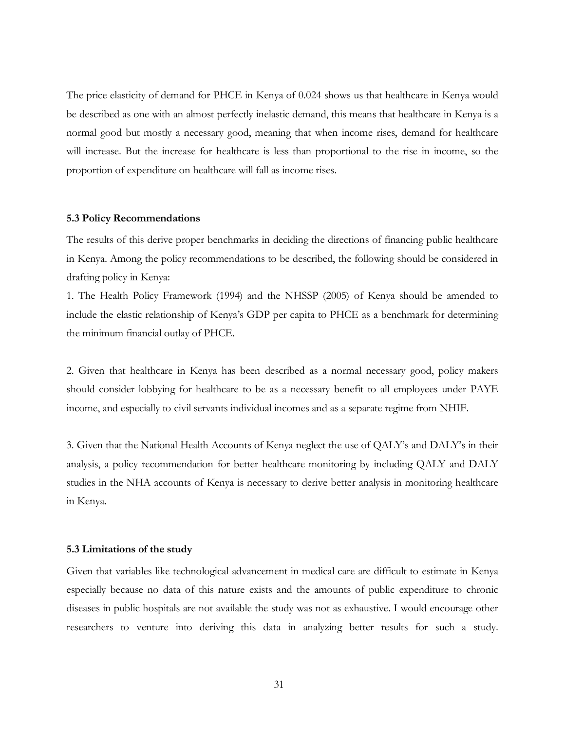The price elasticity of demand for PHCE in Kenya of 0.024 shows us that healthcare in Kenya would be described as one with an almost perfectly inelastic demand, this means that healthcare in Kenya is a normal good but mostly a necessary good, meaning that when income rises, demand for healthcare will increase. But the increase for healthcare is less than proportional to the rise in income, so the proportion of expenditure on healthcare will fall as income rises.

#### **5.3 Policy Recommendations**

The results of this derive proper benchmarks in deciding the directions of financing public healthcare in Kenya. Among the policy recommendations to be described, the following should be considered in drafting policy in Kenya:

1. The Health Policy Framework (1994) and the NHSSP (2005) of Kenya should be amended to include the elastic relationship of Kenya's GDP per capita to PHCE as a benchmark for determining the minimum financial outlay of PHCE.

2. Given that healthcare in Kenya has been described as a normal necessary good, policy makers should consider lobbying for healthcare to be as a necessary benefit to all employees under PAYE income, and especially to civil servants individual incomes and as a separate regime from NHIF.

3. Given that the National Health Accounts of Kenya neglect the use of QALY's and DALY's in their analysis, a policy recommendation for better healthcare monitoring by including QALY and DALY studies in the NHA accounts of Kenya is necessary to derive better analysis in monitoring healthcare in Kenya.

#### **5.3 Limitations of the study**

Given that variables like technological advancement in medical care are difficult to estimate in Kenya especially because no data of this nature exists and the amounts of public expenditure to chronic diseases in public hospitals are not available the study was not as exhaustive. I would encourage other researchers to venture into deriving this data in analyzing better results for such a study.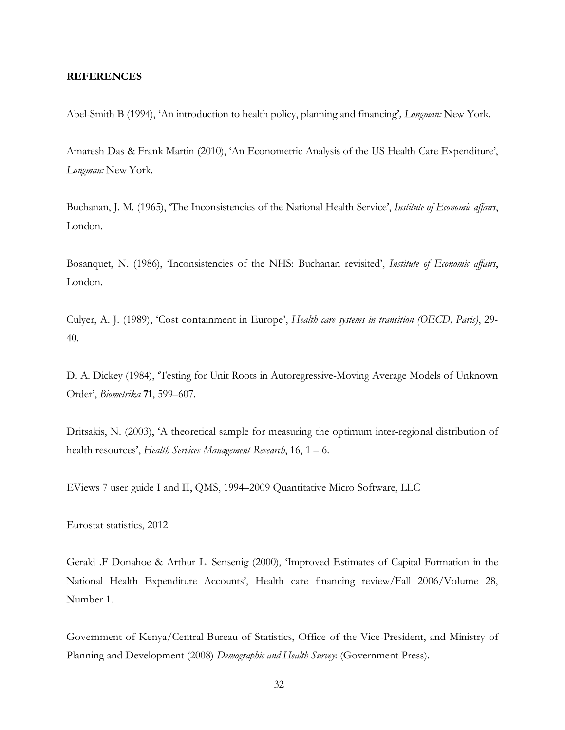#### **REFERENCES**

Abel-Smith B (1994), 'An introduction to health policy, planning and financing'*, Longman:* New York.

Amaresh Das & Frank Martin (2010), 'An Econometric Analysis of the US Health Care Expenditure', *Longman:* New York.

Buchanan, J. M. (1965), 'The Inconsistencies of the National Health Service', *Institute of Economic affairs*, London.

Bosanquet, N. (1986), 'Inconsistencies of the NHS: Buchanan revisited', *Institute of Economic affairs*, London.

Culyer, A. J. (1989), 'Cost containment in Europe', *Health care systems in transition (OECD, Paris)*, 29- 40.

D. A. Dickey (1984), 'Testing for Unit Roots in Autoregressive-Moving Average Models of Unknown Order', *Biometrika* **71**, 599–607.

Dritsakis, N. (2003), 'A theoretical sample for measuring the optimum inter-regional distribution of health resources', *Health Services Management Research*, 16, 1 – 6.

EViews 7 user guide I and II, QMS, 1994–2009 Quantitative Micro Software, LLC

Eurostat statistics, 2012

Gerald .F Donahoe & Arthur L. Sensenig (2000), 'Improved Estimates of Capital Formation in the National Health Expenditure Accounts', Health care financing review/Fall 2006/Volume 28, Number 1.

Government of Kenya/Central Bureau of Statistics, Office of the Vice-President, and Ministry of Planning and Development (2008) *Demographic and Health Survey*: (Government Press).